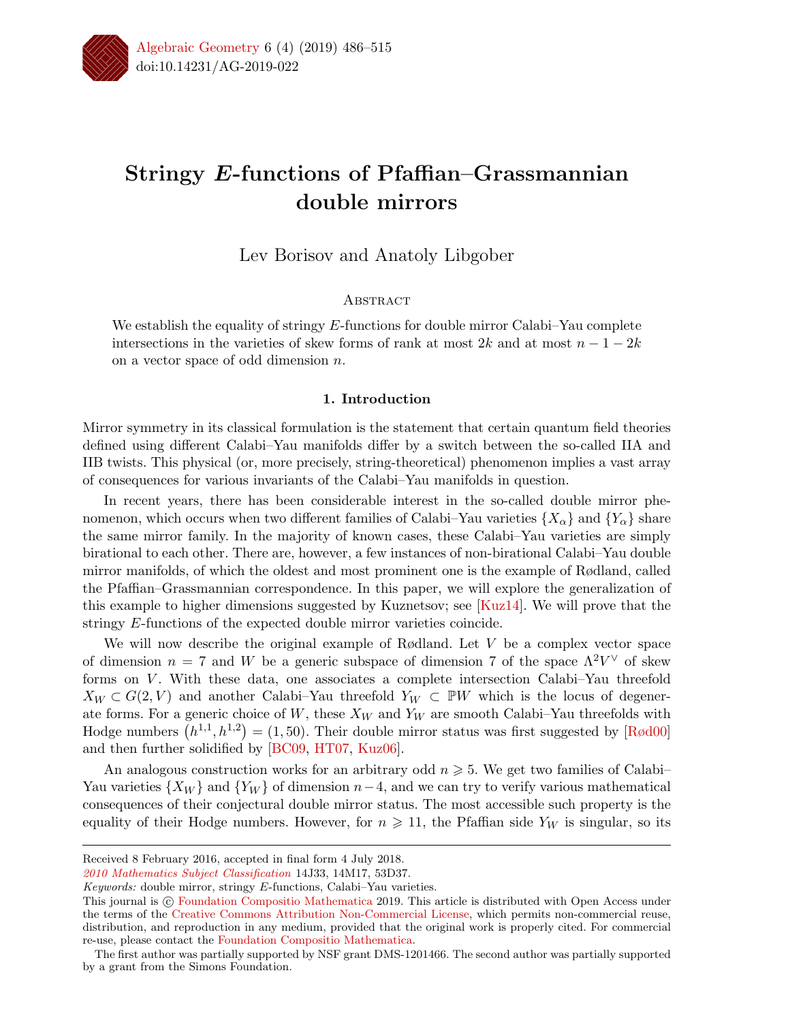

# Stringy *E*-functions of Pfaffian–Grassmannian double mirrors

Lev Borisov and Anatoly Libgober

# **ABSTRACT**

We establish the equality of stringy *E*-functions for double mirror Calabi–Yau complete intersections in the varieties of skew forms of rank at most  $2k$  and at most  $n-1-2k$ on a vector space of odd dimension *n*.

# 1. Introduction

Mirror symmetry in its classical formulation is the statement that certain quantum field theories defined using different Calabi–Yau manifolds differ by a switch between the so-called IIA and IIB twists. This physical (or, more precisely, string-theoretical) phenomenon implies a vast array of consequences for various invariants of the Calabi–Yau manifolds in question.

In recent years, there has been considerable interest in the so-called double mirror phenomenon, which occurs when two different families of Calabi–Yau varieties  $\{X_\alpha\}$  and  $\{Y_\alpha\}$  share the same mirror family. In the majority of known cases, these Calabi–Yau varieties are simply birational to each other. There are, however, a few instances of non-birational Calabi–Yau double mirror manifolds, of which the oldest and most prominent one is the example of Rødland, called the Pfaan–Grassmannian correspondence. In this paper, we will explore the generalization of this example to higher dimensions suggested by Kuznetsov; see [Kuz14]. We will prove that the stringy *E*-functions of the expected double mirror varieties coincide.

We will now describe the original example of Rødland. Let *V* be a complex vector space of dimension  $n = 7$  and W be a generic subspace of dimension 7 of the space  $\Lambda^2 V^{\vee}$  of skew forms on *V* . With these data, one associates a complete intersection Calabi–Yau threefold  $X_W \subset G(2, V)$  and another Calabi–Yau threefold  $Y_W \subset \mathbb{P}W$  which is the locus of degenerate forms. For a generic choice of  $W$ , these  $X_W$  and  $Y_W$  are smooth Calabi–Yau threefolds with Hodge numbers  $(h^{1,1}, h^{1,2}) = (1, 50)$ . Their double mirror status was first suggested by [Rød00] and then further solidified by [BC09, HT07, Kuz06].

An analogous construction works for an arbitrary odd  $n \geqslant 5$ . We get two families of Calabi– Yau varieties  $\{X_W\}$  and  $\{Y_W\}$  of dimension  $n-4$ , and we can try to verify various mathematical consequences of their conjectural double mirror status. The most accessible such property is the equality of their Hodge numbers. However, for  $n \geq 11$ , the Pfaffian side  $Y_W$  is singular, so its

Received 8 February 2016, accepted in final form 4 July 2018.

*<sup>2010</sup> Mathematics Subject Classification* 14J33, 14M17, 53D37.

*Keywords:* double mirror, stringy *E*-functions, Calabi–Yau varieties.

This journal is © Foundation Compositio Mathematica 2019. This article is distributed with Open Access under the terms of the Creative Commons Attribution Non-Commercial License, which permits non-commercial reuse, distribution, and reproduction in any medium, provided that the original work is properly cited. For commercial re-use, please contact the Foundation Compositio Mathematica.

The first author was partially supported by NSF grant DMS-1201466. The second author was partially supported by a grant from the Simons Foundation.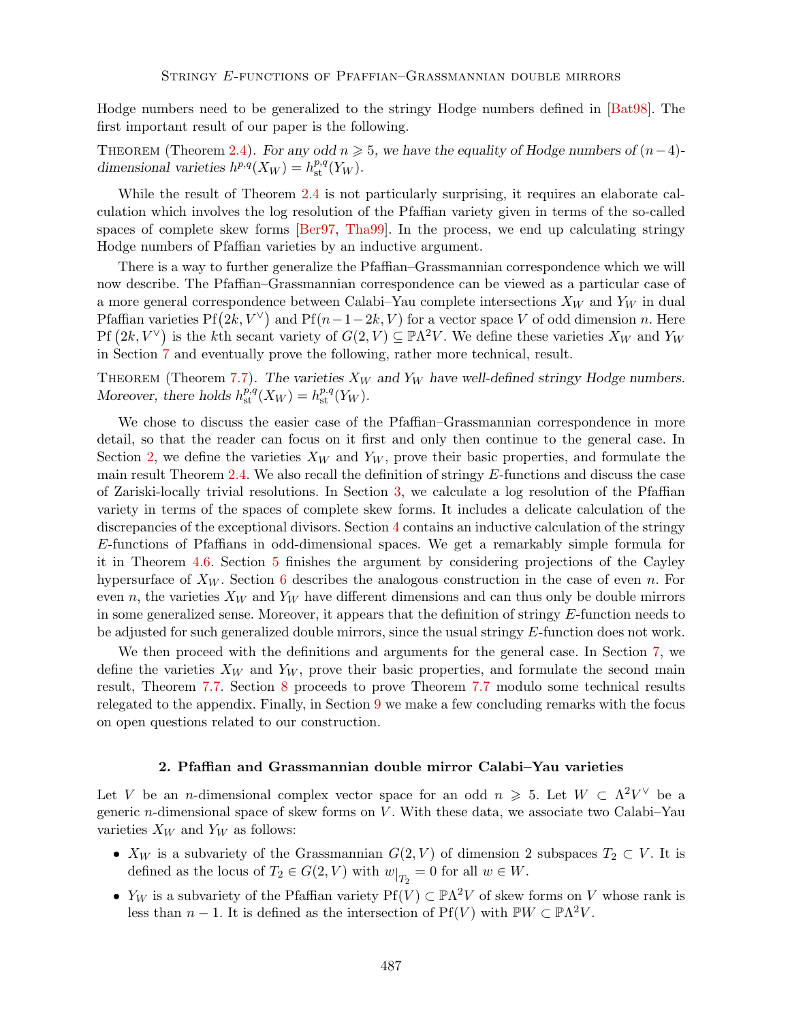Hodge numbers need to be generalized to the stringy Hodge numbers defined in [Bat98]. The first important result of our paper is the following.

THEOREM (Theorem 2.4). *For any odd*  $n \geq 5$ , we have the equality of Hodge numbers of  $(n-4)$ *dimensional varieties*  $h^{p,q}(X_W) = h^{p,q}_{st}(Y_W)$ .

While the result of Theorem 2.4 is not particularly surprising, it requires an elaborate calculation which involves the log resolution of the Pfaffian variety given in terms of the so-called spaces of complete skew forms [Ber97, Tha99]. In the process, we end up calculating stringy Hodge numbers of Pfaffian varieties by an inductive argument.

There is a way to further generalize the Pfaffian–Grassmannian correspondence which we will now describe. The Pfaffian–Grassmannian correspondence can be viewed as a particular case of a more general correspondence between Calabi–Yau complete intersections *X<sup>W</sup>* and *Y<sup>W</sup>* in dual Pfaffian varieties  $Pf(2k, V^{\vee})$  and  $Pf(n-1-2k, V)$  for a vector space *V* of odd dimension *n*. Here  $Pf(2k, V^{\vee})$  is the *k*th secant variety of  $G(2, V) \subseteq \mathbb{P}\Lambda^2 V$ . We define these varieties  $X_W$  and  $Y_W$ in Section 7 and eventually prove the following, rather more technical, result.

THEOREM (Theorem 7.7). The varieties  $X_W$  and  $Y_W$  have well-defined stringy Hodge numbers. *Moreover, there holds*  $h_{\text{st}}^{p,q}(X_W) = h_{\text{st}}^{p,q}(Y_W)$ *.* 

We chose to discuss the easier case of the Pfaffian–Grassmannian correspondence in more detail, so that the reader can focus on it first and only then continue to the general case. In Section 2, we define the varieties  $X_W$  and  $Y_W$ , prove their basic properties, and formulate the main result Theorem 2.4. We also recall the definition of stringy *E*-functions and discuss the case of Zariski-locally trivial resolutions. In Section 3, we calculate a log resolution of the Pfaan variety in terms of the spaces of complete skew forms. It includes a delicate calculation of the discrepancies of the exceptional divisors. Section 4 contains an inductive calculation of the stringy *E*-functions of Pfaffians in odd-dimensional spaces. We get a remarkably simple formula for it in Theorem 4.6. Section 5 finishes the argument by considering projections of the Cayley hypersurface of *X<sup>W</sup>* . Section 6 describes the analogous construction in the case of even *n*. For even *n*, the varieties  $X_W$  and  $Y_W$  have different dimensions and can thus only be double mirrors in some generalized sense. Moreover, it appears that the definition of stringy *E*-function needs to be adjusted for such generalized double mirrors, since the usual stringy *E*-function does not work.

We then proceed with the definitions and arguments for the general case. In Section 7, we define the varieties  $X_W$  and  $Y_W$ , prove their basic properties, and formulate the second main result, Theorem 7.7. Section 8 proceeds to prove Theorem 7.7 modulo some technical results relegated to the appendix. Finally, in Section 9 we make a few concluding remarks with the focus on open questions related to our construction.

# 2. Pfaffian and Grassmannian double mirror Calabi-Yau varieties

Let *V* be an *n*-dimensional complex vector space for an odd  $n \ge 5$ . Let  $W \subset \Lambda^2 V^\vee$  be a generic *n*-dimensional space of skew forms on *V* . With these data, we associate two Calabi–Yau varieties *X<sup>W</sup>* and *Y<sup>W</sup>* as follows:

- $X_W$  is a subvariety of the Grassmannian  $G(2, V)$  of dimension 2 subspaces  $T_2 \subset V$ . It is defined as the locus of  $T_2 \in G(2, V)$  with  $w|_{T_2} = 0$  for all  $w \in W$ .
- $Y_W$  is a subvariety of the Pfaffian variety  $Pf(V) \subset \mathbb{P}\Lambda^2 V$  of skew forms on *V* whose rank is less than  $n-1$ . It is defined as the intersection of  $Pf(V)$  with  $PW \subset \mathbb{P}\Lambda^2 V$ .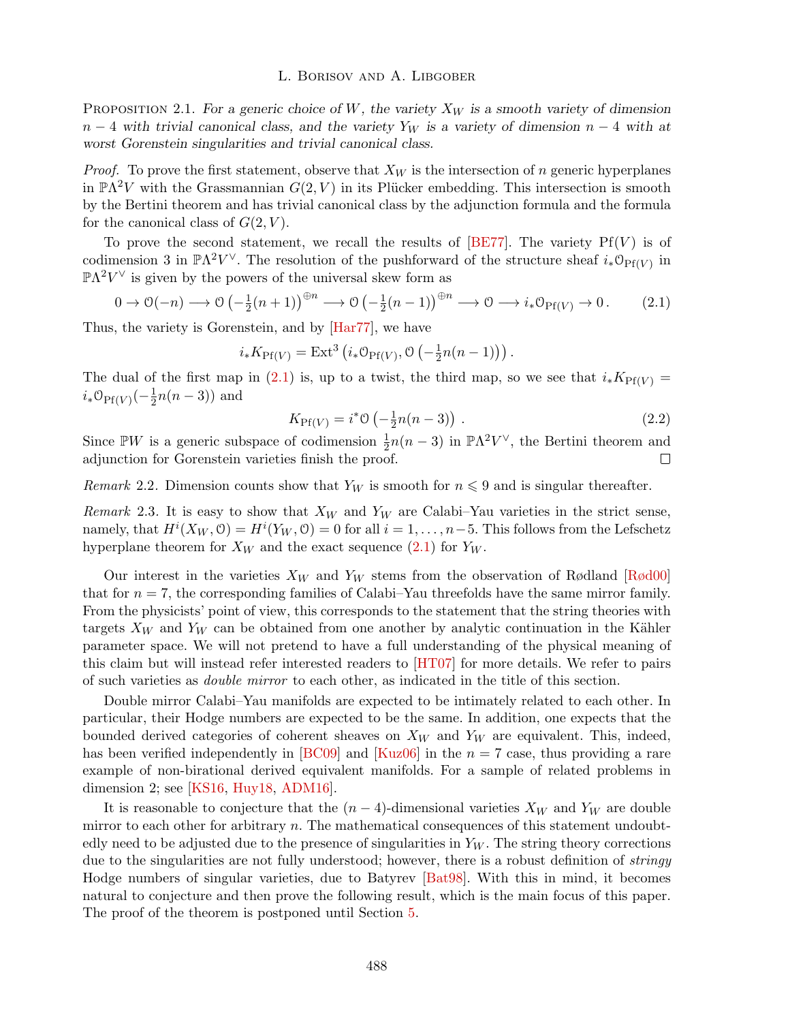Proposition 2.1. *For a generic choice of W, the variety X<sup>W</sup> is a smooth variety of dimension*  $n-4$  *with trivial canonical class, and the variety*  $Y_W$  *is a variety of dimension*  $n-4$  *with at worst Gorenstein singularities and trivial canonical class.*

*Proof.* To prove the first statement, observe that  $X_W$  is the intersection of *n* generic hyperplanes in  $\mathbb{P}\Lambda^2 V$  with the Grassmannian  $G(2, V)$  in its Plücker embedding. This intersection is smooth by the Bertini theorem and has trivial canonical class by the adjunction formula and the formula for the canonical class of  $G(2, V)$ .

To prove the second statement, we recall the results of  $[BE77]$ . The variety  $Pf(V)$  is of codimension 3 in  $\mathbb{P}\Lambda^2 V^\vee$ . The resolution of the pushforward of the structure sheaf  $i_*\mathcal{O}_{\mathrm{Pf}(V)}$  in  $\mathbb{P}\Lambda^2V^{\vee}$  is given by the powers of the universal skew form as

$$
0 \to \mathcal{O}(-n) \longrightarrow \mathcal{O}\left(-\frac{1}{2}(n+1)\right)^{\oplus n} \longrightarrow \mathcal{O}\left(-\frac{1}{2}(n-1)\right)^{\oplus n} \longrightarrow \mathcal{O} \longrightarrow i_*\mathcal{O}_{\text{Pf}(V)} \to 0. \tag{2.1}
$$

Thus, the variety is Gorenstein, and by [Har77], we have

$$
i_*K_{\text{Pf}(V)} = \text{Ext}^3\left(i_*\mathcal{O}_{\text{Pf}(V)}, \mathcal{O}\left(-\frac{1}{2}n(n-1)\right)\right).
$$

The dual of the first map in (2.1) is, up to a twist, the third map, so we see that  $i_* K_{\text{Pf}(V)} =$  $i_* \mathcal{O}_{\text{Pf}(V)}(-\frac{1}{2}n(n-3))$  and

$$
K_{\text{Pf}(V)} = i^* \mathcal{O}\left(-\frac{1}{2}n(n-3)\right). \tag{2.2}
$$

Since  $\mathbb{P}W$  is a generic subspace of codimension  $\frac{1}{2}n(n-3)$  in  $\mathbb{P}\Lambda^2V^{\vee}$ , the Bertini theorem and adjunction for Gorenstein varieties finish the proof.

*Remark* 2.2. Dimension counts show that  $Y_W$  is smooth for  $n \leq 9$  and is singular thereafter.

*Remark* 2.3. It is easy to show that  $X_W$  and  $Y_W$  are Calabi–Yau varieties in the strict sense, namely, that  $H^i(X_W, \mathcal{O}) = H^i(Y_W, \mathcal{O}) = 0$  for all  $i = 1, \ldots, n-5$ . This follows from the Lefschetz hyperplane theorem for  $X_W$  and the exact sequence  $(2.1)$  for  $Y_W$ .

Our interest in the varieties  $X_W$  and  $Y_W$  stems from the observation of Rødland [Rød00] that for  $n = 7$ , the corresponding families of Calabi–Yau threefolds have the same mirror family. From the physicists' point of view, this corresponds to the statement that the string theories with targets  $X_W$  and  $Y_W$  can be obtained from one another by analytic continuation in the Kähler parameter space. We will not pretend to have a full understanding of the physical meaning of this claim but will instead refer interested readers to [HT07] for more details. We refer to pairs of such varieties as *double mirror* to each other, as indicated in the title of this section.

Double mirror Calabi–Yau manifolds are expected to be intimately related to each other. In particular, their Hodge numbers are expected to be the same. In addition, one expects that the bounded derived categories of coherent sheaves on *X<sup>W</sup>* and *Y<sup>W</sup>* are equivalent. This, indeed, has been verified independently in [BC09] and [Kuz06] in the  $n = 7$  case, thus providing a rare example of non-birational derived equivalent manifolds. For a sample of related problems in dimension 2; see [KS16, Huy18, ADM16].

It is reasonable to conjecture that the  $(n-4)$ -dimensional varieties  $X_W$  and  $Y_W$  are double mirror to each other for arbitrary *n*. The mathematical consequences of this statement undoubtedly need to be adjusted due to the presence of singularities in  $Y_W$ . The string theory corrections due to the singularities are not fully understood; however, there is a robust definition of *stringy* Hodge numbers of singular varieties, due to Batyrev [Bat98]. With this in mind, it becomes natural to conjecture and then prove the following result, which is the main focus of this paper. The proof of the theorem is postponed until Section 5.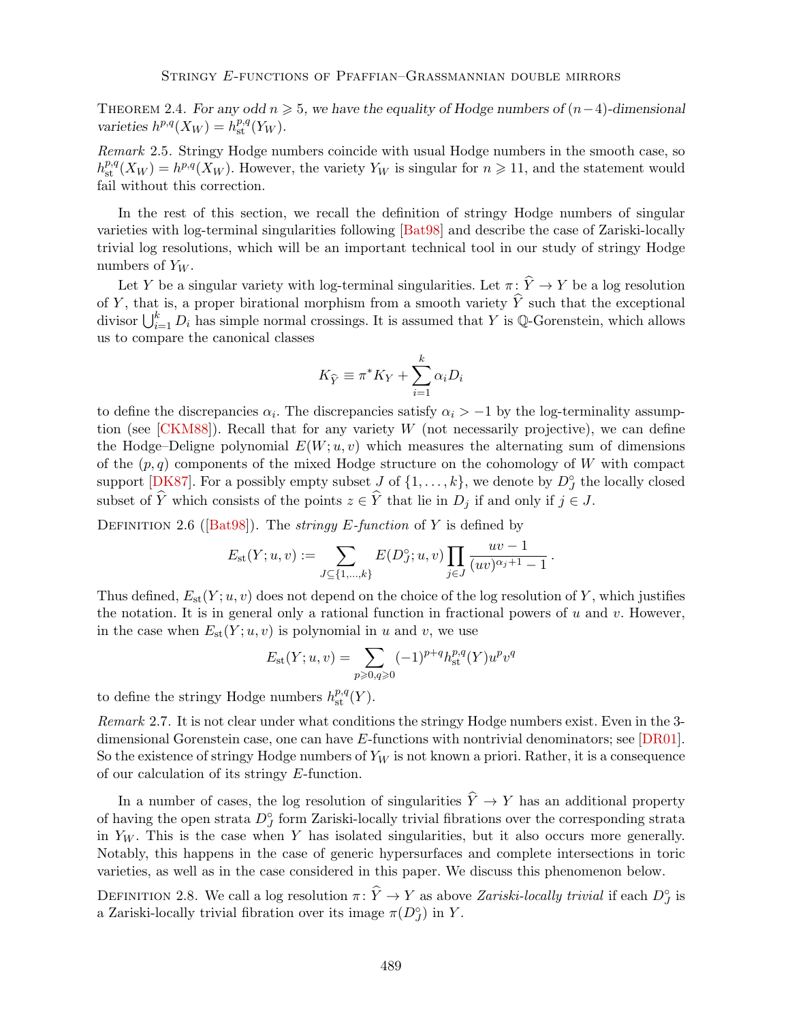THEOREM 2.4. *For any odd*  $n \geq 5$ *, we have the equality of Hodge numbers of*  $(n-4)$ -dimensional *varieties*  $h^{p,q}(X_W) = h^{p,q}_{st}(Y_W)$ *.* 

*Remark* 2.5*.* Stringy Hodge numbers coincide with usual Hodge numbers in the smooth case, so  $h_{\text{st}}^{p,q}(X_W) = h^{p,q}(X_W)$ . However, the variety  $Y_W$  is singular for  $n \geq 11$ , and the statement would fail without this correction.

In the rest of this section, we recall the definition of stringy Hodge numbers of singular varieties with log-terminal singularities following [Bat98] and describe the case of Zariski-locally trivial log resolutions, which will be an important technical tool in our study of stringy Hodge numbers of *Y<sup>W</sup>* .

Let *Y* be a singular variety with log-terminal singularities. Let  $\pi \colon \widehat{Y} \to Y$  be a log resolution of *Y*, that is, a proper birational morphism from a smooth variety  $\hat{Y}$  such that the exceptional divisor  $\bigcup_{i=1}^{k} D_i$  has simple normal crossings. It is assumed that *Y* is Q-Gorenstein, which allows us to compare the canonical classes

$$
K_{\widehat{Y}} \equiv \pi^* K_Y + \sum_{i=1}^k \alpha_i D_i
$$

to define the discrepancies  $\alpha_i$ . The discrepancies satisfy  $\alpha_i > -1$  by the log-terminality assumption (see [CKM88]). Recall that for any variety *W* (not necessarily projective), we can define the Hodge–Deligne polynomial  $E(W; u, v)$  which measures the alternating sum of dimensions of the  $(p, q)$  components of the mixed Hodge structure on the cohomology of *W* with compact support  $[\mathbf{D} \mathbf{K} 87]$ . For a possibly empty subset  $J$  of  $\{1, \ldots, k\}$ , we denote by  $D_J^{\circ}$  the locally closed subset of  $\widehat{Y}$  which consists of the points  $z \in \widehat{Y}$  that lie in  $D_j$  if and only if  $j \in J$ .

Definition 2.6 ([Bat98]). The *stringy E-function* of *Y* is defined by

$$
E_{\rm st}(Y;u,v) := \sum_{J \subseteq \{1,\ldots,k\}} E(D_J^{\circ};u,v) \prod_{j \in J} \frac{uv - 1}{(uv)^{\alpha_j+1} - 1}.
$$

Thus defined,  $E_{st}(Y; u, v)$  does not depend on the choice of the log resolution of Y, which justifies the notation. It is in general only a rational function in fractional powers of *u* and *v*. However, in the case when  $E_{\text{st}}(Y; u, v)$  is polynomial in *u* and *v*, we use

$$
E_{\rm st}(Y; u, v) = \sum_{p \ge 0, q \ge 0} (-1)^{p+q} h_{\rm st}^{p,q}(Y) u^p v^q
$$

to define the stringy Hodge numbers  $h^{p,q}_{\text{st}}(Y)$ .

*Remark* 2.7*.* It is not clear under what conditions the stringy Hodge numbers exist. Even in the 3 dimensional Gorenstein case, one can have *E*-functions with nontrivial denominators; see [DR01]. So the existence of stringy Hodge numbers of *Y<sup>W</sup>* is not known a priori. Rather, it is a consequence of our calculation of its stringy *E*-function.

In a number of cases, the log resolution of singularities  $\hat{Y} \to Y$  has an additional property of having the open strata  $D_J^{\circ}$  form Zariski-locally trivial fibrations over the corresponding strata in *Y<sup>W</sup>* . This is the case when *Y* has isolated singularities, but it also occurs more generally. Notably, this happens in the case of generic hypersurfaces and complete intersections in toric varieties, as well as in the case considered in this paper. We discuss this phenomenon below.

DEFINITION 2.8. We call a log resolution  $\pi: Y \to Y$  as above *Zariski-locally trivial* if each  $D_J^{\circ}$  is a Zariski-locally trivial fibration over its image  $\pi(D_J^{\circ})$  in *Y*.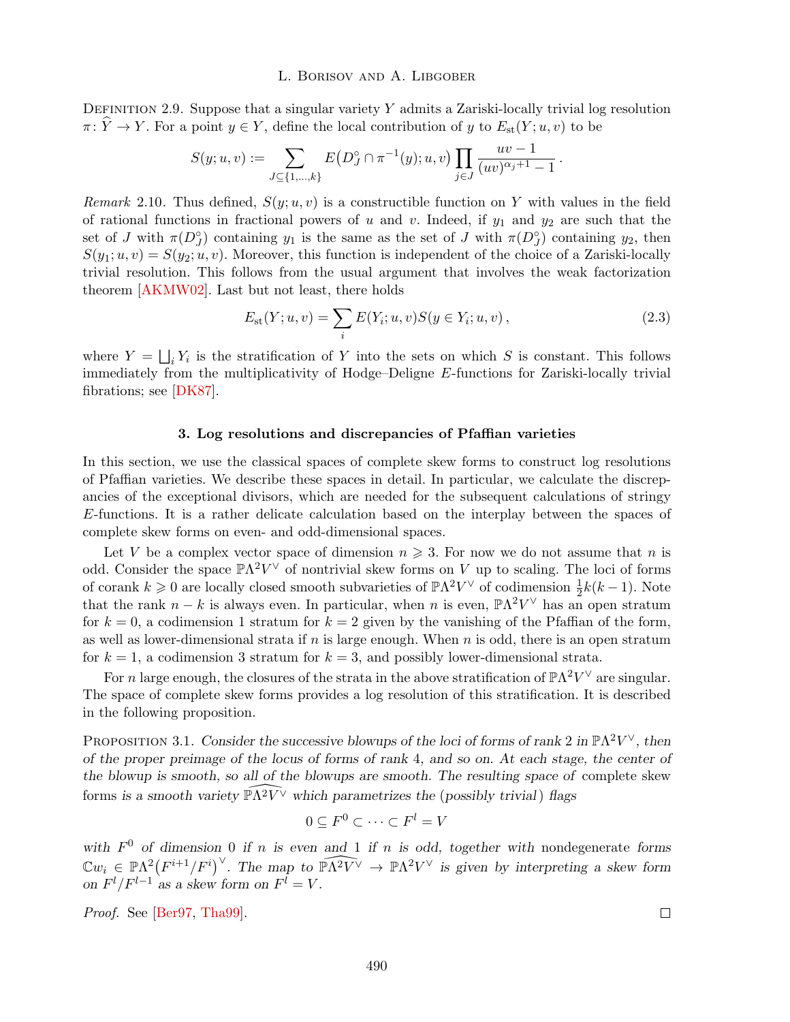DEFINITION 2.9. Suppose that a singular variety Y admits a Zariski-locally trivial log resolution  $\pi: \widehat{Y} \to Y$ . For a point  $y \in Y$ , define the local contribution of *y* to  $E_{\text{st}}(Y; u, v)$  to be

$$
S(y; u, v) := \sum_{J \subseteq \{1, \dots, k\}} E\big(D_J^{\circ} \cap \pi^{-1}(y); u, v\big) \prod_{j \in J} \frac{uv - 1}{(uv)^{\alpha_j + 1} - 1}.
$$

*Remark* 2.10. Thus defined,  $S(y; u, v)$  is a constructible function on Y with values in the field of rational functions in fractional powers of *u* and *v*. Indeed, if  $y_1$  and  $y_2$  are such that the set of *J* with  $\pi(D_J^{\circ})$  containing  $y_1$  is the same as the set of *J* with  $\pi(D_J^{\circ})$  containing  $y_2$ , then  $S(y_1; u, v) = S(y_2; u, v)$ . Moreover, this function is independent of the choice of a Zariski-locally trivial resolution. This follows from the usual argument that involves the weak factorization theorem [AKMW02]. Last but not least, there holds

$$
E_{\rm st}(Y; u, v) = \sum_{i} E(Y_i; u, v) S(y \in Y_i; u, v), \qquad (2.3)
$$

where  $Y = \bigsqcup_i Y_i$  is the stratification of *Y* into the sets on which *S* is constant. This follows immediately from the multiplicativity of Hodge–Deligne *E*-functions for Zariski-locally trivial fibrations; see [DK87].

#### 3. Log resolutions and discrepancies of Pfaffian varieties

In this section, we use the classical spaces of complete skew forms to construct log resolutions of Pfaan varieties. We describe these spaces in detail. In particular, we calculate the discrepancies of the exceptional divisors, which are needed for the subsequent calculations of stringy *E*-functions. It is a rather delicate calculation based on the interplay between the spaces of complete skew forms on even- and odd-dimensional spaces.

Let V be a complex vector space of dimension  $n \geq 3$ . For now we do not assume that *n* is odd. Consider the space  $\mathbb{P}\Lambda^2V^{\vee}$  of nontrivial skew forms on *V* up to scaling. The loci of forms of corank  $k \geq 0$  are locally closed smooth subvarieties of  $\mathbb{P}\Lambda^2 V^\vee$  of codimension  $\frac{1}{2}k(k-1)$ . Note that the rank  $n - k$  is always even. In particular, when *n* is even,  $\mathbb{P}\Lambda^2 V^\vee$  has an open stratum for  $k = 0$ , a codimension 1 stratum for  $k = 2$  given by the vanishing of the Pfaffian of the form, as well as lower-dimensional strata if *n* is large enough. When *n* is odd, there is an open stratum for  $k = 1$ , a codimension 3 stratum for  $k = 3$ , and possibly lower-dimensional strata.

For *n* large enough, the closures of the strata in the above stratification of  $\mathbb{P}\Lambda^2V^\vee$  are singular. The space of complete skew forms provides a log resolution of this stratification. It is described in the following proposition.

PROPOSITION 3.1. *Consider the successive blowups of the loci of forms of rank* 2 *in*  $\mathbb{P}\Lambda^2 V^{\vee}$ *, then of the proper preimage of the locus of forms of rank* 4*, and so on. At each stage, the center of the blowup is smooth, so all of the blowups are smooth. The resulting space of* complete skew forms is a smooth variety  $\widehat{\mathbb{P}\Lambda^2 V}$  which parametrizes the (possibly trivial) flags

$$
0 \subseteq F^0 \subset \cdots \subset F^l = V
$$

with  $F^0$  of dimension 0 if *n* is even and 1 if *n* is odd, together with nondegenerate forms  $\mathbb{C}w_i \in \mathbb{P}\Lambda^2(F^{i+1}/F^i)$ . The map to  $\widehat{\mathbb{P}\Lambda^2V} \to \mathbb{P}\Lambda^2V$  is given by interpreting a skew form *on*  $F^l/F^{l-1}$  *as a skew form on*  $F^l = V$ *.* 

*Proof.* See [Ber97, Tha99].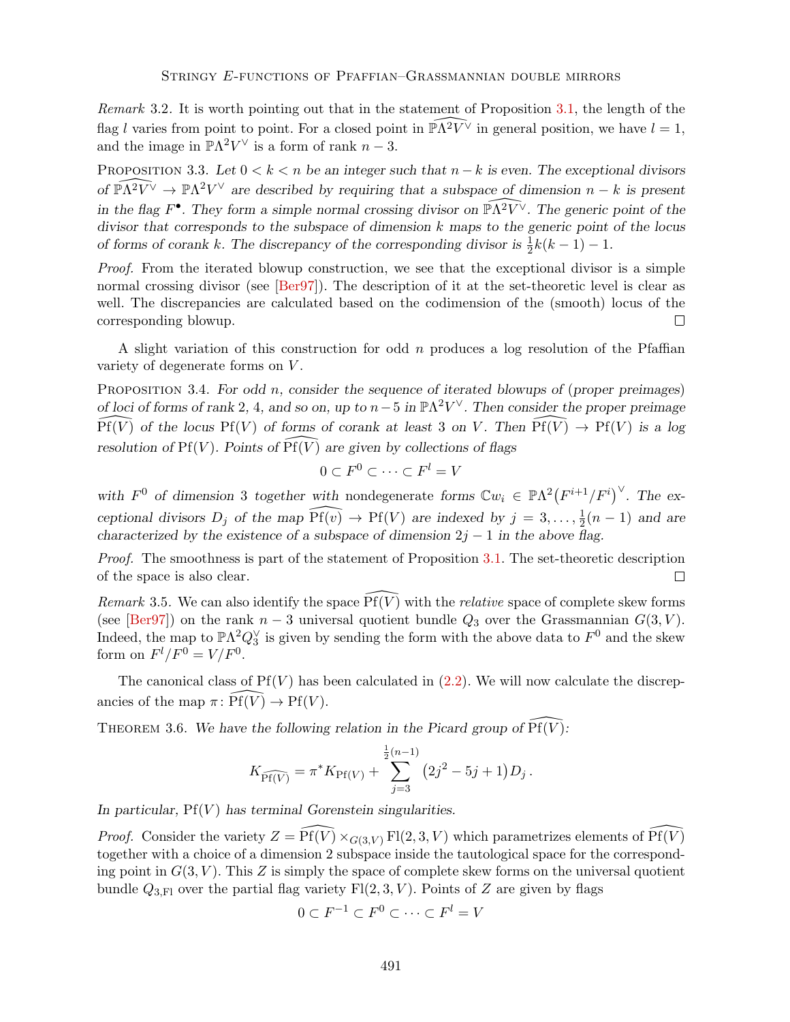*Remark* 3.2*.* It is worth pointing out that in the statement of Proposition 3.1, the length of the flag *l* varies from point to point. For a closed point in  $\widehat{\mathbb{P}\Lambda^2 V}$  in general position, we have  $l = 1$ , and the image in  $\mathbb{P}\Lambda^2 V^\vee$  is a form of rank  $n-3$ .

PROPOSITION 3.3. Let  $0 < k < n$  be an integer such that  $n - k$  is even. The exceptional divisors *of*  $\widehat{\mathbb{P}\Lambda^2 V} \to \mathbb{P}\Lambda^2 V$  are described by requiring that a subspace of dimension  $n - k$  is present *in the flag*  $F^{\bullet}$ *. They form a simple normal crossing divisor on*  $\widehat{\mathbb{P}\Lambda^2 V}$ *. The generic point of the divisor that corresponds to the subspace of dimension k maps to the generic point of the locus of forms of corank k. The discrepancy of the corresponding divisor is*  $\frac{1}{2}k(k-1) - 1$ .

*Proof.* From the iterated blowup construction, we see that the exceptional divisor is a simple normal crossing divisor (see [Ber97]). The description of it at the set-theoretic level is clear as well. The discrepancies are calculated based on the codimension of the (smooth) locus of the corresponding blowup.  $\Box$ 

A slight variation of this construction for odd *n* produces a log resolution of the Pfaffian variety of degenerate forms on *V* .

Proposition 3.4. *For odd n, consider the sequence of iterated blowups of* (*proper preimages*) *of loci of forms of rank* 2, 4, and so on, up to  $n-5$  in  $\mathbb{P}\Lambda^2 V^{\vee}$ . Then consider the proper preimage of loci of forms of rank 2, 4, and so on, up to  $n-5$  in  $\mathbb{P}\Lambda^2 V^\vee$ . Then consider the proper preimage  $\widehat{Pf(V)}$  of the locus  $Pf(V)$  of forms of corank at least 3 on *V*. Then  $\widehat{Pf(V)} \to Pf(V)$  is a log *resolution of*  $Pf(V)$ *. Points of*  $\overline{Pf(V)}$  *are given by collections of flags* 

$$
0 \subset F^0 \subset \cdots \subset F^l = V
$$

with  $F^0$  of dimension 3 together with nondegenerate forms  $\mathbb{C}w_i \in \mathbb{P}\Lambda^2(F^{i+1}/F^i)^\vee$ . The ex*ceptional divisors*  $D_j$  *of the map*  $\widehat{Pf(v)} \to Pf(V)$  *are indexed by*  $j = 3, \ldots, \frac{1}{2}(n-1)$  *and are characterized by the existence of a subspace of dimension*  $2j - 1$  *in the above flag.* 

*Proof.* The smoothness is part of the statement of Proposition 3.1. The set-theoretic description of the space is also clear.  $\Box$ 

*Remark* 3.5. We can also identify the space  $\overline{Pf}(V)$  with the *relative* space of complete skew forms (see [Ber97]) on the rank  $n-3$  universal quotient bundle  $Q_3$  over the Grassmannian  $G(3, V)$ . Indeed, the map to  $\mathbb{P}\Lambda^2 Q_3^{\vee}$  is given by sending the form with the above data to  $F^0$  and the skew form on  $F^l/F^0 = V/F^0$ .

The canonical class of  $Pf(V)$  has been calculated in  $(2.2)$ . We will now calculate the discrepancies of the map  $\pi: Pf(V) \to Pf(V)$ .

THEOREM 3.6. We have the following relation in the Picard group of  $\widehat{Pf}(V)$ :

$$
K_{\widehat{\mathrm{Pf}(V)}} = \pi^* K_{\mathrm{Pf}(V)} + \sum_{j=3}^{\frac{1}{2}(n-1)} (2j^2 - 5j + 1) D_j.
$$

*In particular,* Pf(*V* ) *has terminal Gorenstein singularities.*

*Proof.* Consider the variety  $Z = \widehat{Pf(V)} \times_{G(3,V)} \mathrm{Fl}(2,3,V)$  which parametrizes elements of  $\widehat{Pf(V)}$ together with a choice of a dimension 2 subspace inside the tautological space for the corresponding point in  $G(3, V)$ . This Z is simply the space of complete skew forms on the universal quotient bundle  $Q_{3,F1}$  over the partial flag variety  $F1(2,3,V)$ . Points of *Z* are given by flags

$$
0 \subset F^{-1} \subset F^0 \subset \cdots \subset F^l = V
$$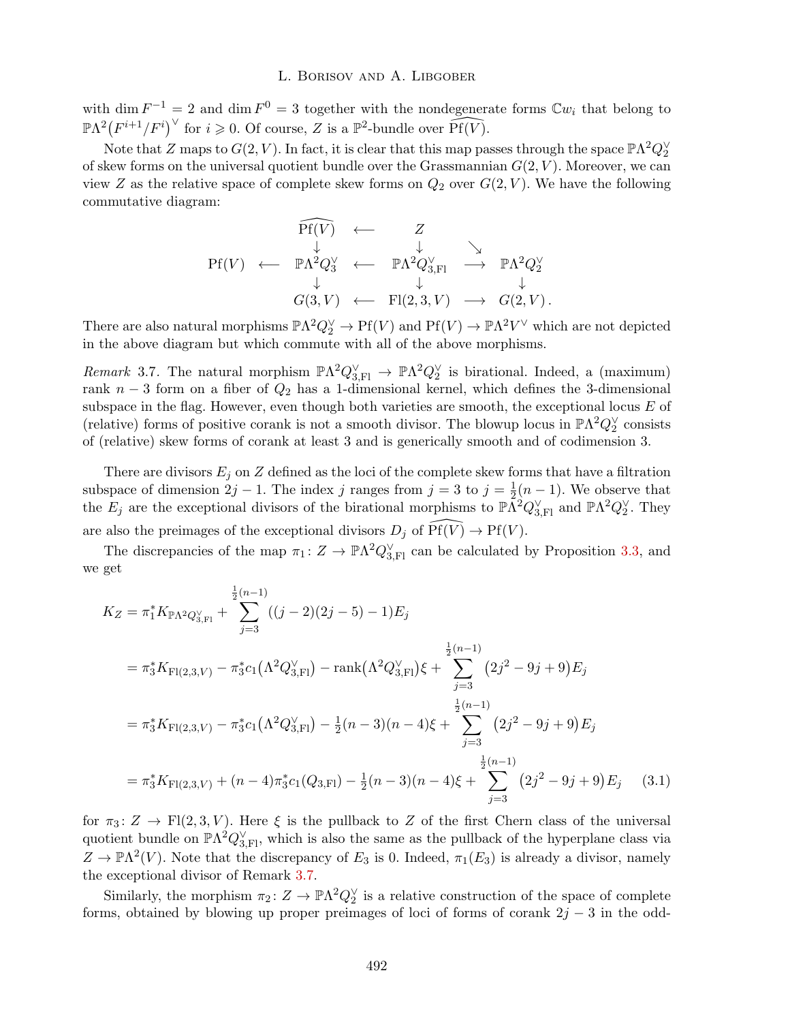with dim  $F^{-1} = 2$  and dim  $F^{0} = 3$  together with the nondegenerate forms  $\mathbb{C}w_i$  that belong to  $\mathbb{P}\Lambda^2\big(F^{i+1}/F^i\big)^\vee$  for  $i \geqslant 0$ . Of course, *Z* is a  $\mathbb{P}^2$ -bundle over  $\widehat{\mathrm{Pf}(V)}$ .

Note that *Z* maps to  $G(2, V)$ . In fact, it is clear that this map passes through the space  $\mathbb{P}\Lambda^2 Q_2^{\vee}$ of skew forms on the universal quotient bundle over the Grassmannian *G*(2*, V* ). Moreover, we can view *Z* as the relative space of complete skew forms on  $Q_2$  over  $G(2, V)$ . We have the following commutative diagram:

$$
\begin{array}{ccccccc}\n\widetilde{\mathrm{Pf}}(\widetilde{V}) & \leftarrow & Z & & \\
& \downarrow & & \downarrow & & \searrow & \\
\mathrm{Pf}(V) & \leftarrow & \mathbb{P}\Lambda^2 Q_3^{\vee} & \leftarrow & \mathbb{P}\Lambda^2 Q_{3,\mathrm{FI}}^{\vee} & \rightarrow & \mathbb{P}\Lambda^2 Q_2^{\vee} & \\
& \downarrow & & \downarrow & & \downarrow & \\
G(3, V) & \leftarrow & \mathrm{Fl}(2, 3, V) & \longrightarrow & G(2, V).\n\end{array}
$$

There are also natural morphisms  $\mathbb{P}\Lambda^2 Q_2^{\vee} \to \text{Pf}(V)$  and  $\text{Pf}(V) \to \mathbb{P}\Lambda^2 V^{\vee}$  which are not depicted in the above diagram but which commute with all of the above morphisms.

*Remark* 3.7. The natural morphism  $\mathbb{P}\Lambda^2 Q_{3,F1}^{\vee} \to \mathbb{P}\Lambda^2 Q_2^{\vee}$  is birational. Indeed, a (maximum) rank  $n-3$  form on a fiber of  $Q_2$  has a 1-dimensional kernel, which defines the 3-dimensional subspace in the flag. However, even though both varieties are smooth, the exceptional locus *E* of (relative) forms of positive corank is not a smooth divisor. The blowup locus in  $\mathbb{P}\Lambda^2 Q_2^{\vee}$  consists of (relative) skew forms of corank at least 3 and is generically smooth and of codimension 3.

There are divisors  $E_j$  on  $Z$  defined as the loci of the complete skew forms that have a filtration subspace of dimension  $2j - 1$ . The index *j* ranges from  $j = 3$  to  $j = \frac{1}{2}(n - 1)$ . We observe that the  $E_j$  are the exceptional divisors of the birational morphisms to  $\mathbb{P}\bar{\Lambda}^2 Q_{3,\text{FI}}^{\vee}$  and  $\mathbb{P}\Lambda^2 Q_2^{\vee}$ . They are also the preimages of the exceptional divisors  $D_j$  of  $\widehat{Pf}(V) \to Pf(V)$ .

The discrepancies of the map  $\pi_1: Z \to \mathbb{P}\Lambda^2 Q_{3,\text{FI}}^{\vee}$  can be calculated by Proposition 3.3, and we get

$$
K_Z = \pi_1^* K_{\mathbb{P}\Lambda^2 Q_{3,\mathbb{F}^1}^{\vee}} + \sum_{j=3}^{\frac{1}{2}(n-1)} ((j-2)(2j-5)-1)E_j
$$
  
\n
$$
= \pi_3^* K_{\mathbb{F}^1(2,3,V)} - \pi_3^* c_1 (\Lambda^2 Q_{3,\mathbb{F}^1}^{\vee}) - \operatorname{rank}(\Lambda^2 Q_{3,\mathbb{F}^1}^{\vee}) \xi + \sum_{j=3}^{\frac{1}{2}(n-1)} (2j^2 - 9j + 9)E_j
$$
  
\n
$$
= \pi_3^* K_{\mathbb{F}^1(2,3,V)} - \pi_3^* c_1 (\Lambda^2 Q_{3,\mathbb{F}^1}^{\vee}) - \frac{1}{2}(n-3)(n-4)\xi + \sum_{j=3}^{\frac{1}{2}(n-1)} (2j^2 - 9j + 9)E_j
$$
  
\n
$$
= \pi_3^* K_{\mathbb{F}^1(2,3,V)} + (n-4)\pi_3^* c_1 (Q_{3,\mathbb{F}^1}) - \frac{1}{2}(n-3)(n-4)\xi + \sum_{j=3}^{\frac{1}{2}(n-1)} (2j^2 - 9j + 9)E_j
$$
 (3.1)

for  $\pi_3: Z \to Fl(2, 3, V)$ . Here  $\xi$  is the pullback to *Z* of the first Chern class of the universal quotient bundle on  $\mathbb{P}\Lambda^2 Q_{3,\text{FI}}^{\vee}$ , which is also the same as the pullback of the hyperplane class via  $Z \to \mathbb{P}\Lambda^2(V)$ . Note that the discrepancy of *E*<sub>3</sub> is 0. Indeed,  $\pi_1(E_3)$  is already a divisor, namely the exceptional divisor of Remark 3.7.

Similarly, the morphism  $\pi_2 \colon Z \to \mathbb{P}\Lambda^2 Q_2^{\vee}$  is a relative construction of the space of complete forms, obtained by blowing up proper preimages of loci of forms of corank  $2j - 3$  in the odd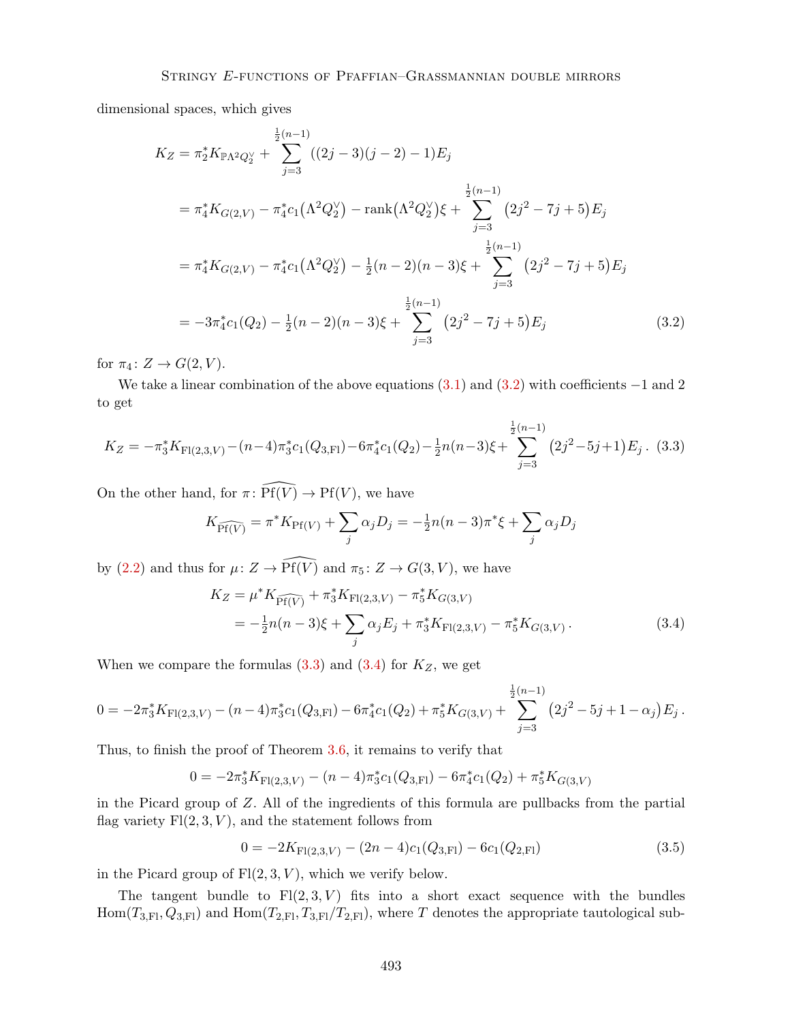dimensional spaces, which gives

$$
K_Z = \pi_2^* K_{\mathbb{P}\Lambda^2 Q_2^{\vee}} + \sum_{j=3}^{\frac{1}{2}(n-1)} ((2j-3)(j-2) - 1) E_j
$$
  
\n
$$
= \pi_4^* K_{G(2,V)} - \pi_4^* c_1 (\Lambda^2 Q_2^{\vee}) - \operatorname{rank}(\Lambda^2 Q_2^{\vee}) \xi + \sum_{j=3}^{\frac{1}{2}(n-1)} (2j^2 - 7j + 5) E_j
$$
  
\n
$$
= \pi_4^* K_{G(2,V)} - \pi_4^* c_1 (\Lambda^2 Q_2^{\vee}) - \frac{1}{2}(n-2)(n-3)\xi + \sum_{j=3}^{\frac{1}{2}(n-1)} (2j^2 - 7j + 5) E_j
$$
  
\n
$$
= -3\pi_4^* c_1 (Q_2) - \frac{1}{2}(n-2)(n-3)\xi + \sum_{j=3}^{\frac{1}{2}(n-1)} (2j^2 - 7j + 5) E_j
$$
 (3.2)

for  $\pi_4$ :  $Z \rightarrow G(2, V)$ .

We take a linear combination of the above equations  $(3.1)$  and  $(3.2)$  with coefficients  $-1$  and 2 to get

$$
K_Z = -\pi_3^* K_{\mathrm{Fl}(2,3,V)} - (n-4)\pi_3^* c_1(Q_{3,\mathrm{Fl}}) - 6\pi_4^* c_1(Q_2) - \frac{1}{2}n(n-3)\xi + \sum_{j=3}^{\frac{1}{2}(n-1)} (2j^2 - 5j + 1)E_j.
$$
 (3.3)

On the other hand, for  $\pi \colon \widehat{\mathrm{Pf}(V)} \to \mathrm{Pf}(V)$ , we have

$$
K_{\widehat{\text{Pf}(V)}} = \pi^* K_{\text{Pf}(V)} + \sum_j \alpha_j D_j = -\frac{1}{2} n(n-3)\pi^* \xi + \sum_j \alpha_j D_j
$$

by (2.2) and thus for  $\mu: Z \to \widehat{Pf(V)}$  and  $\pi_5: Z \to G(3, V)$ , we have

$$
K_Z = \mu^* K_{\widehat{\text{Pf}(V)}} + \pi_3^* K_{\text{Fl}(2,3,V)} - \pi_5^* K_{G(3,V)} = -\frac{1}{2} n(n-3)\xi + \sum_j \alpha_j E_j + \pi_3^* K_{\text{Fl}(2,3,V)} - \pi_5^* K_{G(3,V)}.
$$
(3.4)

When we compare the formulas  $(3.3)$  and  $(3.4)$  for  $K_Z$ , we get

$$
0 = -2\pi_3^* K_{\mathrm{Fl}(2,3,V)} - (n-4)\pi_3^* c_1(Q_{3,\mathrm{Fl}}) - 6\pi_4^* c_1(Q_2) + \pi_5^* K_{G(3,V)} + \sum_{j=3}^{\frac{1}{2}(n-1)} (2j^2 - 5j + 1 - \alpha_j) E_j.
$$

Thus, to finish the proof of Theorem 3.6, it remains to verify that

$$
0 = -2\pi_3^* K_{\mathrm{Fl}(2,3,V)} - (n-4)\pi_3^* c_1(Q_{3,\mathrm{Fl}}) - 6\pi_4^* c_1(Q_2) + \pi_5^* K_{G(3,V)}
$$

in the Picard group of *Z*. All of the ingredients of this formula are pullbacks from the partial flag variety  $F1(2,3,V)$ , and the statement follows from

$$
0 = -2K_{\mathrm{Fl}(2,3,V)} - (2n-4)c_1(Q_{3,\mathrm{Fl}}) - 6c_1(Q_{2,\mathrm{Fl}})
$$
\n(3.5)

in the Picard group of  $F1(2,3,V)$ , which we verify below.

The tangent bundle to  $F(2,3,V)$  fits into a short exact sequence with the bundles  $Hom(T_{3,F1}, Q_{3,F1})$  and  $Hom(T_{2,F1}, T_{3,F1}/T_{2,F1})$ , where *T* denotes the appropriate tautological sub-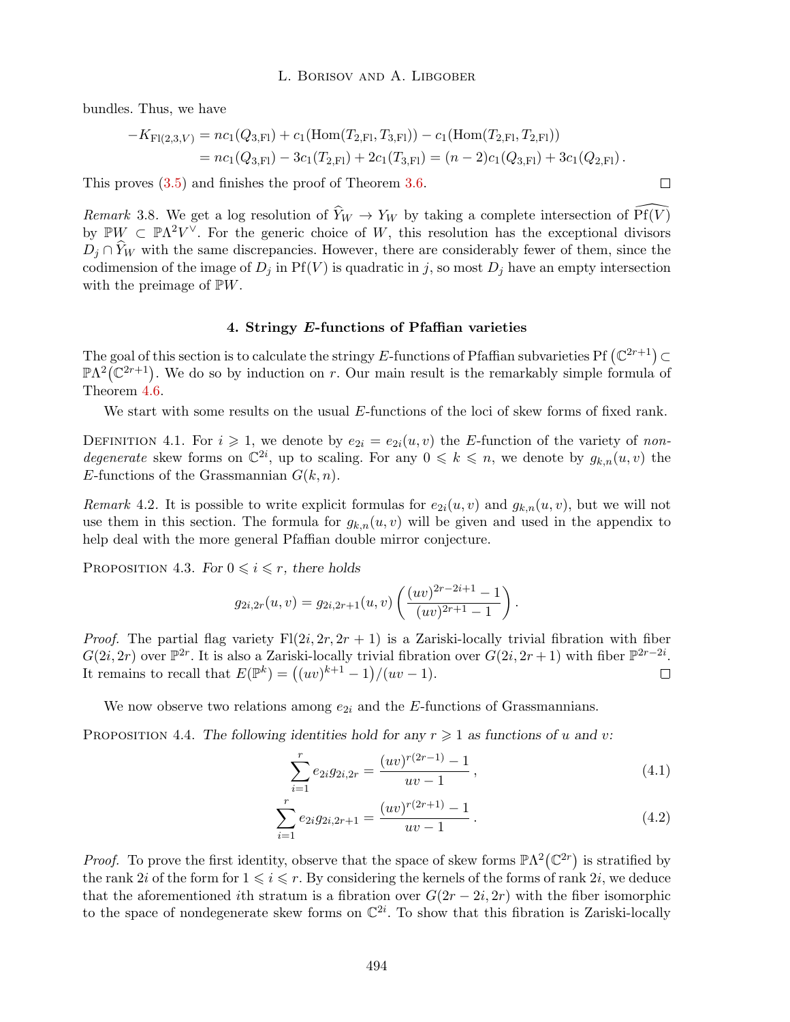bundles. Thus, we have

$$
-K_{\mathrm{Fl}(2,3,V)} = nc_1(Q_{3,\mathrm{Fl}}) + c_1(\mathrm{Hom}(T_{2,\mathrm{Fl}}, T_{3,\mathrm{Fl}})) - c_1(\mathrm{Hom}(T_{2,\mathrm{Fl}}, T_{2,\mathrm{Fl}}))
$$
  
= 
$$
nc_1(Q_{3,\mathrm{Fl}}) - 3c_1(T_{2,\mathrm{Fl}}) + 2c_1(T_{3,\mathrm{Fl}}) = (n-2)c_1(Q_{3,\mathrm{Fl}}) + 3c_1(Q_{2,\mathrm{Fl}}).
$$

 $\Box$ 

This proves (3.5) and finishes the proof of Theorem 3.6.

*Remark* 3.8. We get a log resolution of  $\widehat{Y}_W \to Y_W$  by taking a complete intersection of  $\widehat{Pf(V)}$ by  $\mathbb{P}W \subset \mathbb{P}\Lambda^2V^\vee$ . For the generic choice of W, this resolution has the exceptional divisors  $D_i \cap Y_W$  with the same discrepancies. However, there are considerably fewer of them, since the codimension of the image of  $D_j$  in Pf(*V*) is quadratic in *j*, so most  $D_j$  have an empty intersection with the preimage of P*W*.

# 4. Stringy *E*-functions of Pfaffian varieties

The goal of this section is to calculate the stringy *E*-functions of Pfaffian subvarieties Pf  $(\mathbb{C}^{2r+1}) \subset$  $\mathbb{P}\Lambda^2(\mathbb{C}^{2r+1})$ . We do so by induction on *r*. Our main result is the remarkably simple formula of Theorem 4.6.

We start with some results on the usual *E*-functions of the loci of skew forms of fixed rank.

DEFINITION 4.1. For  $i \geq 1$ , we denote by  $e_{2i} = e_{2i}(u, v)$  the *E*-function of the variety of *nondegenerate* skew forms on  $\mathbb{C}^{2i}$ , up to scaling. For any  $0 \leq k \leq n$ , we denote by  $g_{k,n}(u, v)$  the *E*-functions of the Grassmannian  $G(k, n)$ .

*Remark* 4.2. It is possible to write explicit formulas for  $e_{2i}(u, v)$  and  $g_{k,n}(u, v)$ , but we will not use them in this section. The formula for  $g_{k,n}(u, v)$  will be given and used in the appendix to help deal with the more general Pfaffian double mirror conjecture.

PROPOSITION 4.3. *For*  $0 \leq i \leq r$ *, there holds* 

$$
g_{2i,2r}(u,v) = g_{2i,2r+1}(u,v) \left( \frac{(uv)^{2r-2i+1}-1}{(uv)^{2r+1}-1} \right).
$$

*Proof.* The partial flag variety  $F1(2i, 2r, 2r + 1)$  is a Zariski-locally trivial fibration with fiber  $G(2i, 2r)$  over  $\mathbb{P}^{2r}$ . It is also a Zariski-locally trivial fibration over  $G(2i, 2r+1)$  with fiber  $\mathbb{P}^{2r-2i}$ . It remains to recall that  $E(\mathbb{P}^k) = ((uv)^{k+1} - 1)/(uv - 1)$ .  $\Box$ 

We now observe two relations among  $e_{2i}$  and the *E*-functions of Grassmannians.

PROPOSITION 4.4. The following identities hold for any  $r \geq 1$  as functions of *u* and *v*:

$$
\sum_{i=1}^{r} e_{2i} g_{2i,2r} = \frac{(uv)^{r(2r-1)} - 1}{uv - 1},
$$
\n(4.1)

$$
\sum_{i=1}^{r} e_{2i}g_{2i,2r+1} = \frac{(uv)^{r(2r+1)} - 1}{uv - 1}.
$$
\n(4.2)

*Proof.* To prove the first identity, observe that the space of skew forms  $\mathbb{P}\Lambda^2(\mathbb{C}^{2r})$  is stratified by the rank 2*i* of the form for  $1 \leq i \leq r$ . By considering the kernels of the forms of rank 2*i*, we deduce that the aforementioned *i*th stratum is a fibration over  $G(2r - 2i, 2r)$  with the fiber isomorphic to the space of nondegenerate skew forms on  $\mathbb{C}^{2i}$ . To show that this fibration is Zariski-locally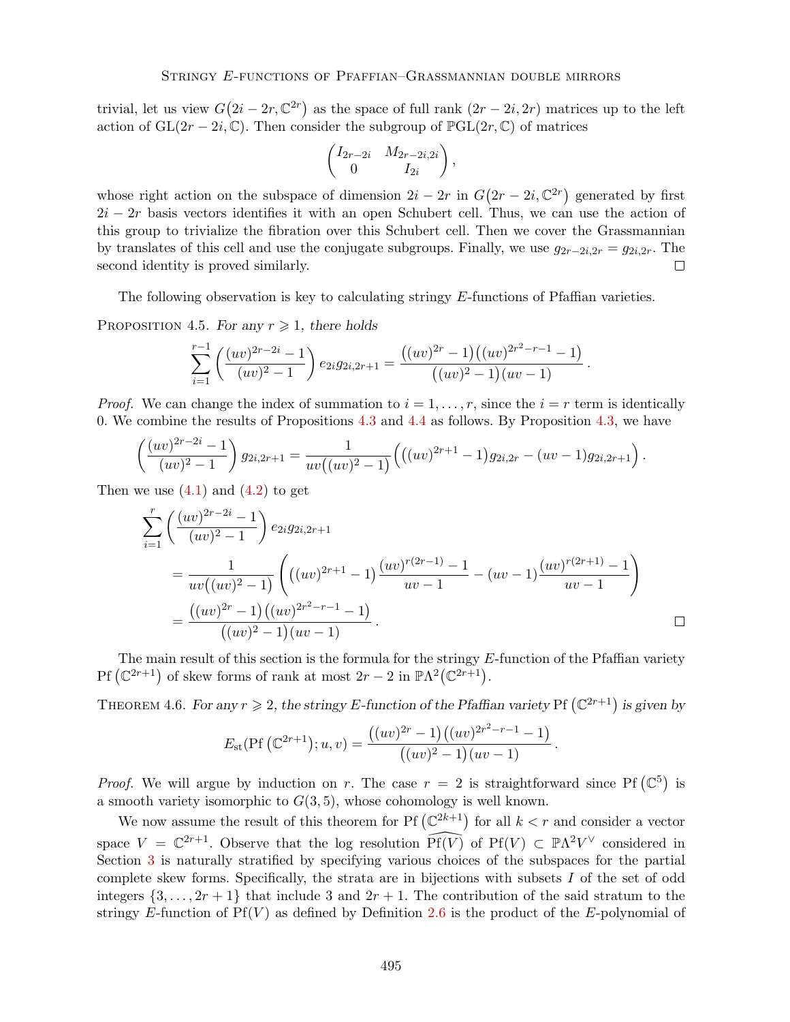trivial, let us view  $G(2i - 2r, \mathbb{C}^{2r})$  as the space of full rank  $(2r - 2i, 2r)$  matrices up to the left action of  $GL(2r-2i,\mathbb{C})$ . Then consider the subgroup of  $\mathbb{P}GL(2r,\mathbb{C})$  of matrices

$$
\begin{pmatrix} I_{2r-2i} & M_{2r-2i,2i} \\ 0 & I_{2i} \end{pmatrix},
$$

whose right action on the subspace of dimension  $2i - 2r$  in  $G(2r - 2i, \mathbb{C}^{2r})$  generated by first  $2i - 2r$  basis vectors identifies it with an open Schubert cell. Thus, we can use the action of this group to trivialize the fibration over this Schubert cell. Then we cover the Grassmannian by translates of this cell and use the conjugate subgroups. Finally, we use  $g_{2r-2i,2r} = g_{2i,2r}$ . The second identity is proved similarly. second identity is proved similarly.

The following observation is key to calculating stringy E-functions of Pfaffian varieties.

PROPOSITION 4.5. *For any*  $r \geq 1$ *, there holds* 

$$
\sum_{i=1}^{r-1} \left( \frac{(uv)^{2r-2i}-1}{(uv)^2-1} \right) e_{2i} g_{2i,2r+1} = \frac{((uv)^{2r}-1)((uv)^{2r^2-r-1}-1)}{((uv)^2-1)(uv-1)}.
$$

*Proof.* We can change the index of summation to  $i = 1, \ldots, r$ , since the  $i = r$  term is identically 0. We combine the results of Propositions 4.3 and 4.4 as follows. By Proposition 4.3, we have

$$
\left(\frac{(uv)^{2r-2i}-1}{(uv)^2-1}\right)g_{2i,2r+1}=\frac{1}{uv((uv)^2-1)}\left(\left((uv)^{2r+1}-1\right)g_{2i,2r}-(uv-1)g_{2i,2r+1}\right).
$$

Then we use  $(4.1)$  and  $(4.2)$  to get

$$
\sum_{i=1}^{r} \left( \frac{(uv)^{2r-2i} - 1}{(uv)^2 - 1} \right) e_{2i} g_{2i,2r+1}
$$
\n
$$
= \frac{1}{uv((uv)^2 - 1)} \left( ((uv)^{2r+1} - 1) \frac{(uv)^{r(2r-1)} - 1}{uv - 1} - (uv - 1) \frac{(uv)^{r(2r+1)} - 1}{uv - 1} \right)
$$
\n
$$
= \frac{((uv)^{2r} - 1)((uv)^{2r^2 - r - 1} - 1)}{((uv)^2 - 1)(uv - 1)}.
$$

The main result of this section is the formula for the stringy E-function of the Pfaffian variety Pf  $(\mathbb{C}^{2r+1})$  of skew forms of rank at most  $2r - 2$  in  $\mathbb{P}\Lambda^2(\mathbb{C}^{2r+1})$ .

THEOREM 4.6. For any  $r \geq 2$ , the stringy E-function of the Pfaffian variety Pf  $(\mathbb{C}^{2r+1})$  is given by

$$
E_{\rm st}(\text{Pf }(\mathbb{C}^{2r+1}); u, v) = \frac{((uv)^{2r} - 1)((uv)^{2r^2 - r - 1} - 1)}{((uv)^2 - 1)(uv - 1)}.
$$

*Proof.* We will argue by induction on *r*. The case  $r = 2$  is straightforward since Pf  $(\mathbb{C}^5)$  is a smooth variety isomorphic to  $G(3,5)$ , whose cohomology is well known.

We now assume the result of this theorem for Pf  $(\mathbb{C}^{2k+1})$  for all  $k < r$  and consider a vector space  $V = \mathbb{C}^{2r+1}$ . Observe that the log resolution  $\widehat{Pf(V)}$  of  $Pf(V) \subset \mathbb{P}\Lambda^2 V^\vee$  considered in Section 3 is naturally stratified by specifying various choices of the subspaces for the partial complete skew forms. Specifically, the strata are in bijections with subsets *I* of the set of odd integers  $\{3,\ldots,2r+1\}$  that include 3 and  $2r+1$ . The contribution of the said stratum to the stringy  $E$ -function of  $Pf(V)$  as defined by Definition 2.6 is the product of the  $E$ -polynomial of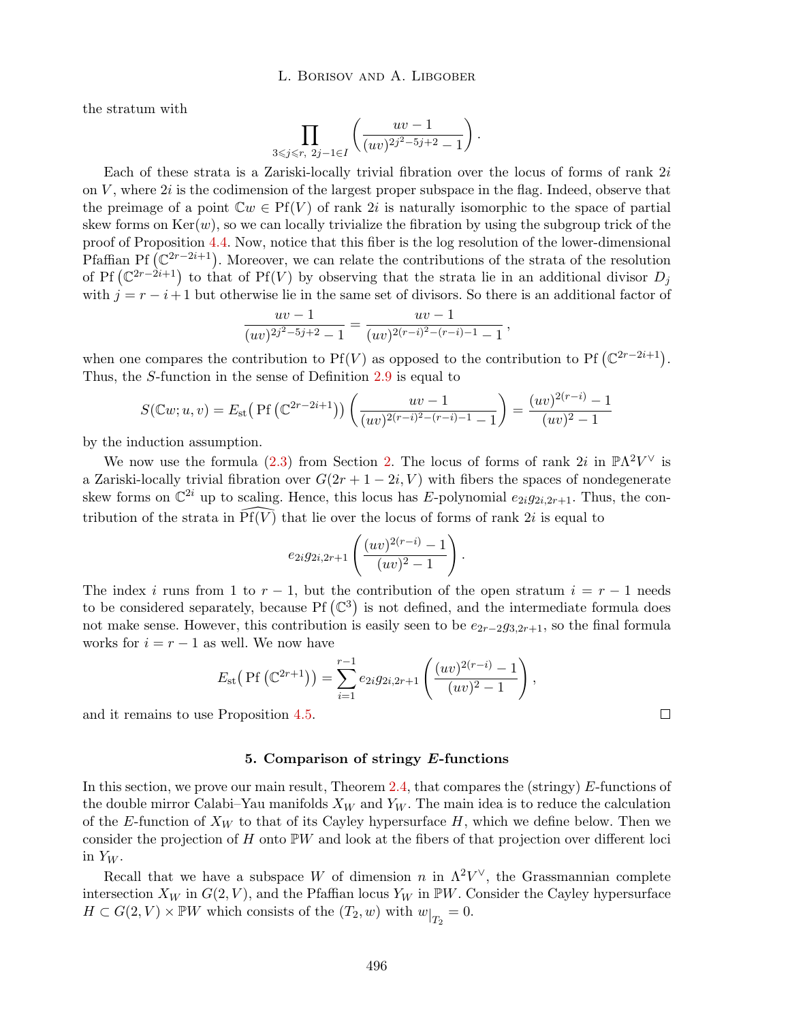the stratum with

$$
\prod_{3\leqslant j\leqslant r,\ 2j-1\in I}\left(\frac{uv-1}{(uv)^{2j^2-5j+2}-1}\right).
$$

Each of these strata is a Zariski-locally trivial fibration over the locus of forms of rank 2*i* on *V* , where 2*i* is the codimension of the largest proper subspace in the flag. Indeed, observe that the preimage of a point  $\mathbb{C}w \in Pf(V)$  of rank 2*i* is naturally isomorphic to the space of partial skew forms on  $Ker(w)$ , so we can locally trivialize the fibration by using the subgroup trick of the proof of Proposition 4.4. Now, notice that this fiber is the log resolution of the lower-dimensional Pfaffian Pf  $(\mathbb{C}^{2r-2i+1})$ . Moreover, we can relate the contributions of the strata of the resolution of Pf  $(\mathbb{C}^{2r-2i+1})$  to that of Pf(*V*) by observing that the strata lie in an additional divisor  $D_j$ with  $j = r - i + 1$  but otherwise lie in the same set of divisors. So there is an additional factor of

$$
\frac{uv-1}{(uv)^{2j^2-5j+2}-1} = \frac{uv-1}{(uv)^{2(r-i)^2-(r-i)-1}-1},
$$

when one compares the contribution to  $Pf(V)$  as opposed to the contribution to  $Pf(C^{2r-2i+1})$ . Thus, the *S*-function in the sense of Definition 2.9 is equal to

$$
S(\mathbb{C}w; u, v) = E_{\text{st}}\left(\text{Pf}\left(\mathbb{C}^{2r-2i+1}\right)\right)\left(\frac{uv-1}{(uv)^{2(r-i)^2-(r-i)-1}-1}\right) = \frac{(uv)^{2(r-i)}-1}{(uv)^2-1}
$$

by the induction assumption.

We now use the formula (2.3) from Section 2. The locus of forms of rank  $2i$  in  $\mathbb{P}\Lambda^2V^{\vee}$  is a Zariski-locally trivial fibration over  $G(2r + 1 - 2i, V)$  with fibers the spaces of nondegenerate skew forms on  $\mathbb{C}^{2i}$  up to scaling. Hence, this locus has *E*-polynomial  $e_{2i}g_{2i,2r+1}$ . Thus, the contribution of the strata in  $\widehat{Pf(V)}$  that lie over the locus of forms of rank 2*i* is equal to

$$
e_{2i}g_{2i,2r+1}\left(\frac{(uv)^{2(r-i)}-1}{(uv)^2-1}\right).
$$

The index *i* runs from 1 to  $r-1$ , but the contribution of the open stratum  $i = r-1$  needs to be considered separately, because  $Pf(\mathbb{C}^3)$  is not defined, and the intermediate formula does not make sense. However, this contribution is easily seen to be  $e_{2r-2}g_{3,2r+1}$ , so the final formula works for  $i = r - 1$  as well. We now have

$$
E_{\rm st}\big(\Pr\big(\mathbb{C}^{2r+1}\big)\big)=\sum_{i=1}^{r-1}e_{2i}g_{2i,2r+1}\left(\frac{(uv)^{2(r-i)}-1}{(uv)^2-1}\right),\,
$$

and it remains to use Proposition 4.5.

## 5. Comparison of stringy *E*-functions

In this section, we prove our main result, Theorem 2.4, that compares the (stringy) *E*-functions of the double mirror Calabi–Yau manifolds *X<sup>W</sup>* and *Y<sup>W</sup>* . The main idea is to reduce the calculation of the *E*-function of  $X_W$  to that of its Cayley hypersurface  $H$ , which we define below. Then we consider the projection of *H* onto  $\mathbb{P}W$  and look at the fibers of that projection over different loci in  $Y_W$ .

Recall that we have a subspace *W* of dimension *n* in  $\Lambda^2 V^{\vee}$ , the Grassmannian complete intersection  $X_W$  in  $G(2, V)$ , and the Pfaffian locus  $Y_W$  in  $\mathbb{P}W$ . Consider the Cayley hypersurface  $H \subset G(2, V) \times \mathbb{P}W$  which consists of the  $(T_2, w)$  with  $w|_{T_2} = 0$ .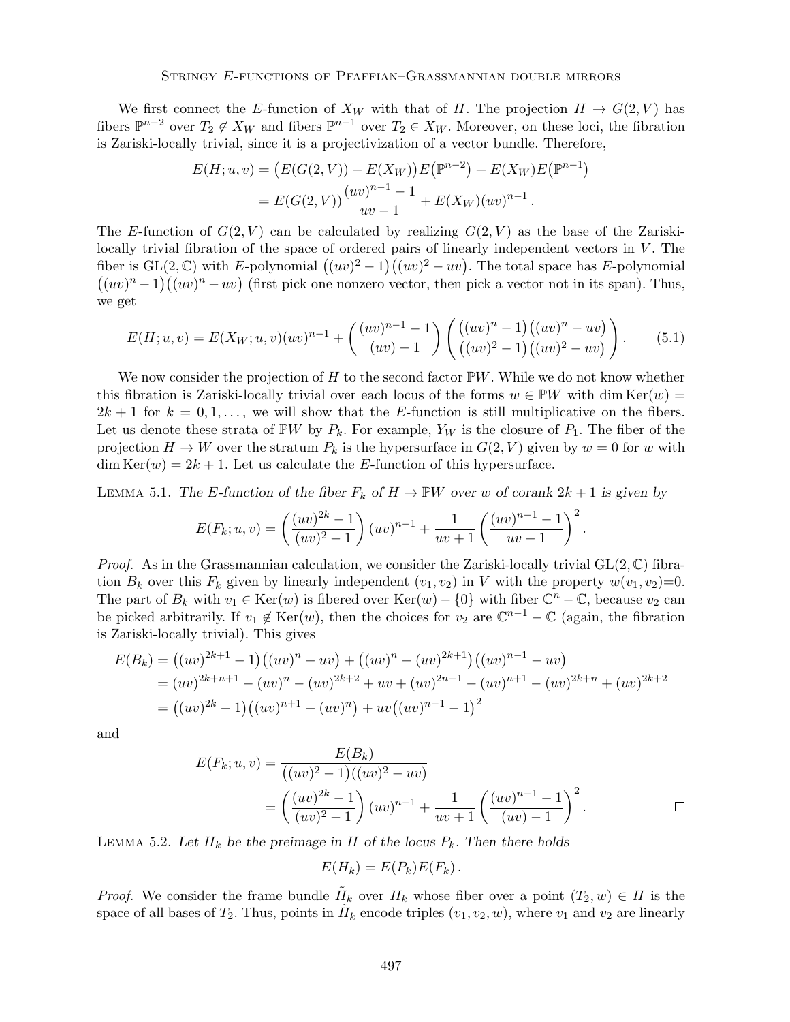We first connect the *E*-function of  $X_W$  with that of *H*. The projection  $H \to G(2, V)$  has fibers  $\mathbb{P}^{n-2}$  over  $T_2 \notin X_W$  and fibers  $\mathbb{P}^{n-1}$  over  $T_2 \in X_W$ . Moreover, on these loci, the fibration is Zariski-locally trivial, since it is a projectivization of a vector bundle. Therefore,

$$
E(H; u, v) = (E(G(2, V)) - E(X_W))E(\mathbb{P}^{n-2}) + E(X_W)E(\mathbb{P}^{n-1})
$$
  
= 
$$
E(G(2, V))\frac{(uv)^{n-1} - 1}{uv - 1} + E(X_W)(uv)^{n-1}.
$$

The *E*-function of  $G(2, V)$  can be calculated by realizing  $G(2, V)$  as the base of the Zariskilocally trivial fibration of the space of ordered pairs of linearly independent vectors in *V*. The fiber is  $GL(2, \mathbb{C})$  with *E*-polynomial  $((uv)^2 - 1)((uv)^2 - uv)$ . The total space has *E*-polynomial  $((uv)^n - 1)((uv)^n - uv)$  (first pick one nonzero vector, then pick a vector not in its span). Thus, we get

$$
E(H; u, v) = E(X_W; u, v)(uv)^{n-1} + \left(\frac{(uv)^{n-1} - 1}{(uv) - 1}\right) \left(\frac{((uv)^n - 1)((uv)^n - uv)}{((uv)^2 - 1)((uv)^2 - uv)}\right).
$$
(5.1)

We now consider the projection of *H* to the second factor  $\mathbb{P}W$ . While we do not know whether this fibration is Zariski-locally trivial over each locus of the forms  $w \in \mathbb{P}W$  with dim Ker $(w)$  $2k + 1$  for  $k = 0, 1, \ldots$ , we will show that the *E*-function is still multiplicative on the fibers. Let us denote these strata of  $\mathbb{P}W$  by  $P_k$ . For example,  $Y_W$  is the closure of  $P_1$ . The fiber of the projection  $H \to W$  over the stratum  $P_k$  is the hypersurface in  $G(2, V)$  given by  $w = 0$  for w with  $\dim \text{Ker}(w)=2k+1.$  Let us calculate the *E*-function of this hypersurface.

LEMMA 5.1. The *E*-function of the fiber  $F_k$  of  $H \to \mathbb{P}W$  over *w* of corank  $2k + 1$  is given by

$$
E(F_k; u, v) = \left(\frac{(uv)^{2k} - 1}{(uv)^2 - 1}\right) (uv)^{n-1} + \frac{1}{uv + 1} \left(\frac{(uv)^{n-1} - 1}{uv - 1}\right)^2.
$$

*Proof.* As in the Grassmannian calculation, we consider the Zariski-locally trivial GL(2*,* C) fibration  $B_k$  over this  $F_k$  given by linearly independent  $(v_1, v_2)$  in *V* with the property  $w(v_1, v_2)=0$ . The part of  $B_k$  with  $v_1 \in \text{Ker}(w)$  is fibered over  $\text{Ker}(w) - \{0\}$  with fiber  $\mathbb{C}^n - \mathbb{C}$ , because  $v_2$  can be picked arbitrarily. If  $v_1 \notin \text{Ker}(w)$ , then the choices for  $v_2$  are  $\mathbb{C}^{n-1} - \mathbb{C}$  (again, the fibration is Zariski-locally trivial). This gives

$$
E(B_k) = ((uv)^{2k+1} - 1)((uv)^n - uv) + ((uv)^n - (uv)^{2k+1})((uv)^{n-1} - uv)
$$
  
=  $(uv)^{2k+n+1} - (uv)^n - (uv)^{2k+2} + uv + (uv)^{2n-1} - (uv)^{n+1} - (uv)^{2k+n} + (uv)^{2k+2}$   
=  $((uv)^{2k} - 1)((uv)^{n+1} - (uv)^n) + uv((uv)^{n-1} - 1)^2$ 

and

$$
E(F_k; u, v) = \frac{E(B_k)}{((uv)^2 - 1)((uv)^2 - uv)}
$$
  
=  $\left(\frac{(uv)^{2k} - 1}{(uv)^2 - 1}\right)(uv)^{n-1} + \frac{1}{uv + 1}\left(\frac{(uv)^{n-1} - 1}{(uv) - 1}\right)^2$ .

LEMMA 5.2. Let  $H_k$  be the preimage in  $H$  of the locus  $P_k$ . Then there holds

$$
E(H_k) = E(P_k)E(F_k).
$$

*Proof.* We consider the frame bundle  $H_k$  over  $H_k$  whose fiber over a point  $(T_2, w) \in H$  is the space of all bases of  $T_2$ . Thus, points in  $H_k$  encode triples  $(v_1, v_2, w)$ , where  $v_1$  and  $v_2$  are linearly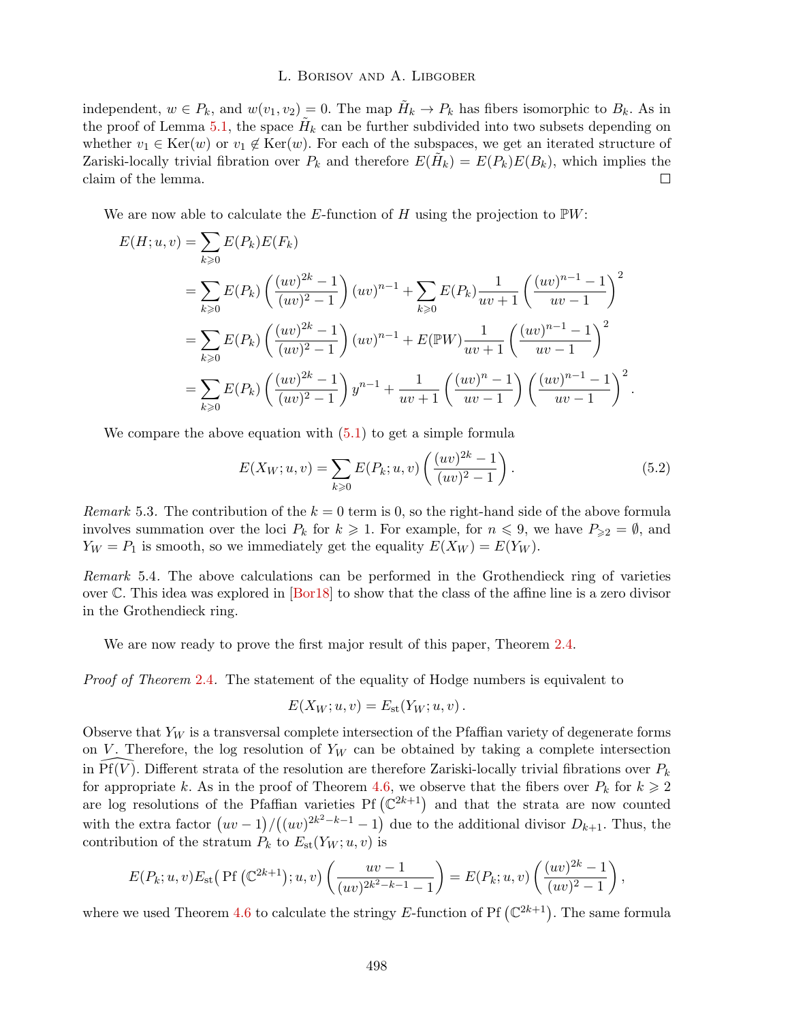independent,  $w \in P_k$ , and  $w(v_1, v_2) = 0$ . The map  $\tilde{H}_k \to P_k$  has fibers isomorphic to  $B_k$ . As in the proof of Lemma 5.1, the space  $H_k$  can be further subdivided into two subsets depending on whether  $v_1 \in \text{Ker}(w)$  or  $v_1 \notin \text{Ker}(w)$ . For each of the subspaces, we get an iterated structure of Zariski-locally trivial fibration over  $P_k$  and therefore  $E(H_k) = E(P_k)E(B_k)$ , which implies the claim of the lemma.  $\overline{\phantom{a}}$ 

We are now able to calculate the *E*-function of *H* using the projection to P*W*:

$$
E(H; u, v) = \sum_{k \geq 0} E(P_k)E(F_k)
$$
  
=  $\sum_{k \geq 0} E(P_k) \left( \frac{(uv)^{2k} - 1}{(uv)^2 - 1} \right) (uv)^{n-1} + \sum_{k \geq 0} E(P_k) \frac{1}{uv + 1} \left( \frac{(uv)^{n-1} - 1}{uv - 1} \right)^2$   
=  $\sum_{k \geq 0} E(P_k) \left( \frac{(uv)^{2k} - 1}{(uv)^2 - 1} \right) (uv)^{n-1} + E(\mathbb{P}W) \frac{1}{uv + 1} \left( \frac{(uv)^{n-1} - 1}{uv - 1} \right)^2$   
=  $\sum_{k \geq 0} E(P_k) \left( \frac{(uv)^{2k} - 1}{(uv)^2 - 1} \right) y^{n-1} + \frac{1}{uv + 1} \left( \frac{(uv)^{n} - 1}{uv - 1} \right) \left( \frac{(uv)^{n-1} - 1}{uv - 1} \right)^2$ .

We compare the above equation with  $(5.1)$  to get a simple formula

$$
E(X_W; u, v) = \sum_{k \ge 0} E(P_k; u, v) \left(\frac{(uv)^{2k} - 1}{(uv)^2 - 1}\right).
$$
 (5.2)

*Remark* 5.3. The contribution of the  $k = 0$  term is 0, so the right-hand side of the above formula involves summation over the loci  $P_k$  for  $k \geq 1$ . For example, for  $n \leq 9$ , we have  $P_{\geq 2} = \emptyset$ , and  $Y_W = P_1$  is smooth, so we immediately get the equality  $E(X_W) = E(Y_W)$ .

*Remark* 5.4*.* The above calculations can be performed in the Grothendieck ring of varieties over  $\mathbb C$ . This idea was explored in [Bor18] to show that the class of the affine line is a zero divisor in the Grothendieck ring.

We are now ready to prove the first major result of this paper, Theorem 2.4.

*Proof of Theorem* 2.4. The statement of the equality of Hodge numbers is equivalent to

$$
E(X_W; u, v) = E_{\rm st}(Y_W; u, v).
$$

Observe that  $Y_W$  is a transversal complete intersection of the Pfaffian variety of degenerate forms on *V*. Therefore, the log resolution of  $Y_W$  can be obtained by taking a complete intersection in  $\widehat{Pf}(\widehat{V})$ . Different strata of the resolution are therefore Zariski-locally trivial fibrations over  $P_k$ for appropriate *k*. As in the proof of Theorem 4.6, we observe that the fibers over  $P_k$  for  $k \geq 2$ are log resolutions of the Pfaffian varieties Pf  $(\mathbb{C}^{2k+1})$  and that the strata are now counted with the extra factor  $(uv-1)/((uv)^{2k^2-k-1}-1)$  due to the additional divisor  $D_{k+1}$ . Thus, the contribution of the stratum  $P_k$  to  $E_{st}(Y_W; u, v)$  is

$$
E(P_k; u, v) E_{\rm st} \left( \Pr \left( \mathbb{C}^{2k+1} \right); u, v \right) \left( \frac{uv - 1}{(uv)^{2k^2 - k - 1} - 1} \right) = E(P_k; u, v) \left( \frac{(uv)^{2k} - 1}{(uv)^2 - 1} \right),
$$

where we used Theorem 4.6 to calculate the stringy E-function of Pf  $(\mathbb{C}^{2k+1})$ . The same formula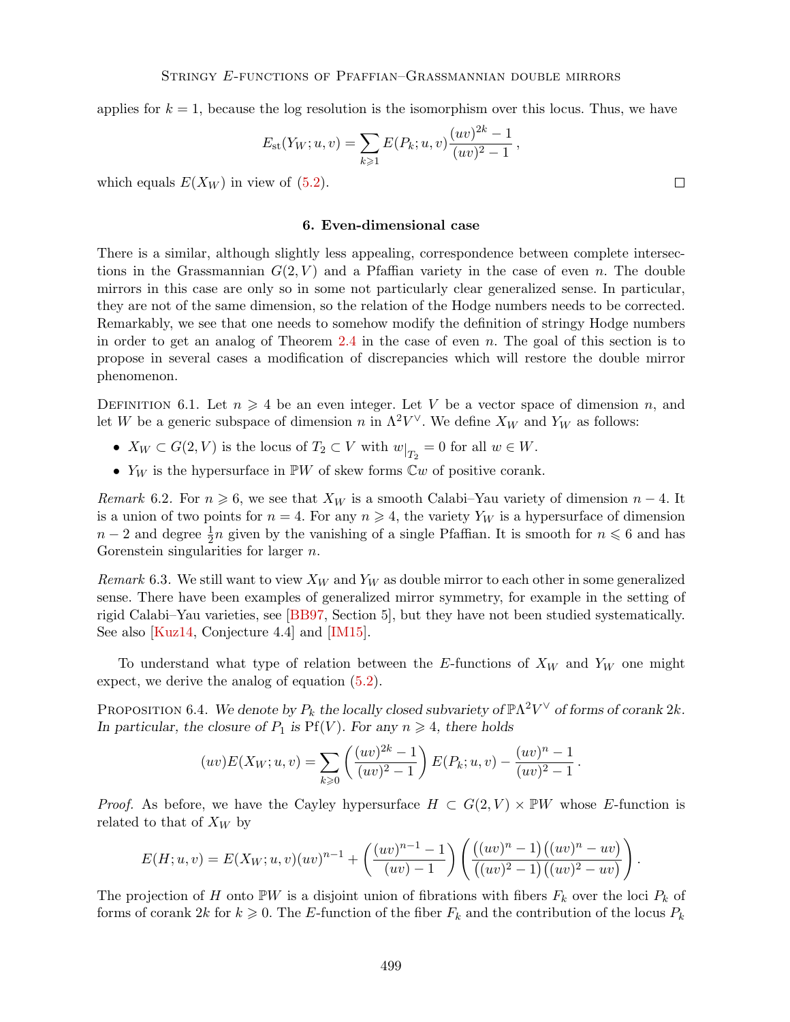applies for  $k = 1$ , because the log resolution is the isomorphism over this locus. Thus, we have

$$
E_{\rm st}(Y_W; u, v) = \sum_{k \geq 1} E(P_k; u, v) \frac{(uv)^{2k} - 1}{(uv)^2 - 1},
$$

which equals  $E(X_W)$  in view of  $(5.2)$ .

# 6. Even-dimensional case

There is a similar, although slightly less appealing, correspondence between complete intersections in the Grassmannian  $G(2, V)$  and a Pfaffian variety in the case of even *n*. The double mirrors in this case are only so in some not particularly clear generalized sense. In particular, they are not of the same dimension, so the relation of the Hodge numbers needs to be corrected. Remarkably, we see that one needs to somehow modify the definition of stringy Hodge numbers in order to get an analog of Theorem 2.4 in the case of even *n*. The goal of this section is to propose in several cases a modification of discrepancies which will restore the double mirror phenomenon.

DEFINITION 6.1. Let  $n \geq 4$  be an even integer. Let V be a vector space of dimension *n*, and let *W* be a generic subspace of dimension *n* in  $\Lambda^2 V^{\vee}$ . We define  $X_W$  and  $Y_W$  as follows:

- $X_W \subset G(2, V)$  is the locus of  $T_2 \subset V$  with  $w|_{T_2} = 0$  for all  $w \in W$ .
- *• Y<sup>W</sup>* is the hypersurface in P*W* of skew forms C*w* of positive corank.

*Remark* 6.2. For  $n \geq 6$ , we see that  $X_W$  is a smooth Calabi–Yau variety of dimension  $n-4$ . It is a union of two points for  $n = 4$ . For any  $n \ge 4$ , the variety  $Y_W$  is a hypersurface of dimension  $n-2$  and degree  $\frac{1}{2}n$  given by the vanishing of a single Pfaffian. It is smooth for  $n \leq 6$  and has Gorenstein singularities for larger *n*.

*Remark* 6.3. We still want to view  $X_W$  and  $Y_W$  as double mirror to each other in some generalized sense. There have been examples of generalized mirror symmetry, for example in the setting of rigid Calabi–Yau varieties, see [BB97, Section 5], but they have not been studied systematically. See also [Kuz14, Conjecture 4.4] and [IM15].

To understand what type of relation between the *E*-functions of *X<sup>W</sup>* and *Y<sup>W</sup>* one might expect, we derive the analog of equation (5.2).

PROPOSITION 6.4. We denote by  $P_k$  the locally closed subvariety of  $\mathbb{P}\Lambda^2V^{\vee}$  of forms of corank  $2k$ . *In particular, the closure of*  $P_1$  *is*  $Pf(V)$ *. For any*  $n \geq 4$ *, there holds* 

$$
(uv)E(X_W; u, v) = \sum_{k \geq 0} \left( \frac{(uv)^{2k} - 1}{(uv)^2 - 1} \right) E(P_k; u, v) - \frac{(uv)^n - 1}{(uv)^2 - 1}.
$$

*Proof.* As before, we have the Cayley hypersurface  $H \subset G(2, V) \times \mathbb{P}W$  whose *E*-function is related to that of *X<sup>W</sup>* by

$$
E(H; u, v) = E(X_W; u, v)(uv)^{n-1} + \left(\frac{(uv)^{n-1} - 1}{(uv) - 1}\right) \left(\frac{((uv)^n - 1)((uv)^n - uv)}{((uv)^2 - 1)((uv)^2 - uv)}\right).
$$

The projection of *H* onto  $\mathbb{P}W$  is a disjoint union of fibrations with fibers  $F_k$  over the loci  $P_k$  of forms of corank 2*k* for  $k \geq 0$ . The *E*-function of the fiber  $F_k$  and the contribution of the locus  $P_k$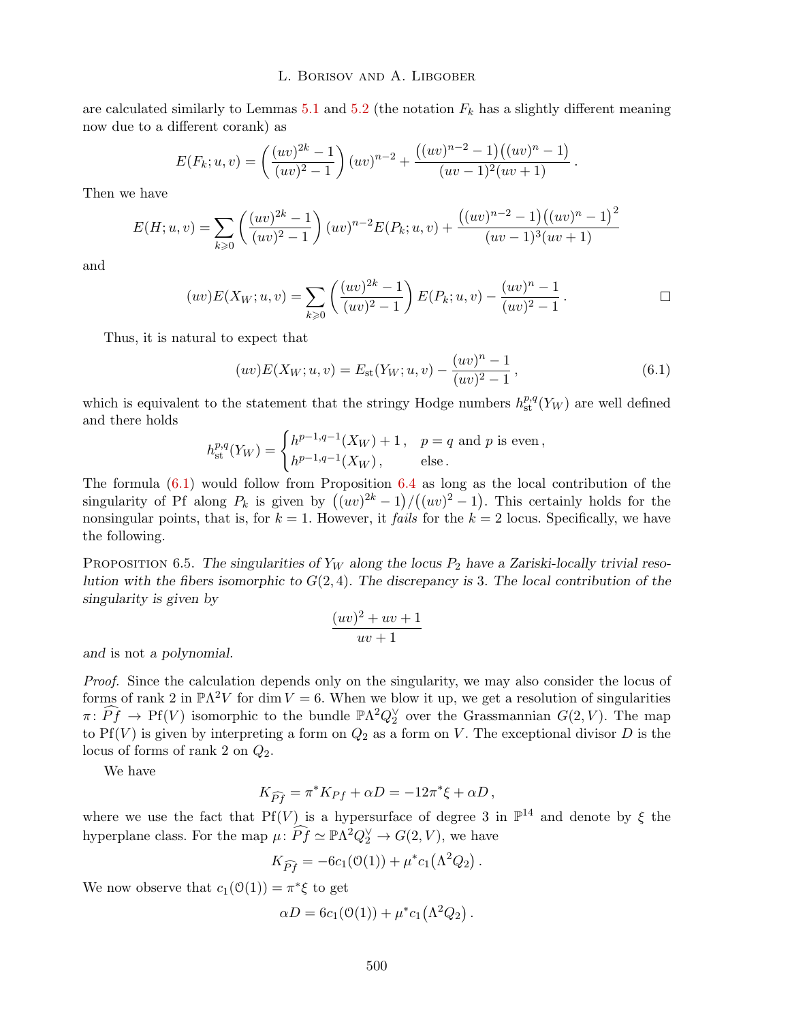are calculated similarly to Lemmas  $5.1$  and  $5.2$  (the notation  $F_k$  has a slightly different meaning now due to a different corank) as

$$
E(F_k; u, v) = \left(\frac{(uv)^{2k} - 1}{(uv)^2 - 1}\right) (uv)^{n-2} + \frac{((uv)^{n-2} - 1)((uv)^n - 1)}{(uv - 1)^2 (uv + 1)}.
$$

Then we have

$$
E(H; u, v) = \sum_{k \ge 0} \left( \frac{(uv)^{2k} - 1}{(uv)^2 - 1} \right) (uv)^{n-2} E(P_k; u, v) + \frac{((uv)^{n-2} - 1)((uv)^n - 1)^2}{(uv - 1)^3 (uv + 1)}
$$

and

$$
(uv)E(X_W; u, v) = \sum_{k \ge 0} \left( \frac{(uv)^{2k} - 1}{(uv)^2 - 1} \right) E(P_k; u, v) - \frac{(uv)^n - 1}{(uv)^2 - 1}.
$$

Thus, it is natural to expect that

$$
(uv)E(X_W; u, v) = E_{\text{st}}(Y_W; u, v) - \frac{(uv)^n - 1}{(uv)^2 - 1},
$$
\n(6.1)

which is equivalent to the statement that the stringy Hodge numbers  $h_{st}^{p,q}(Y_W)$  are well defined and there holds

$$
h^{p,q}_{\rm st}(Y_W) = \begin{cases} h^{p-1,q-1}(X_W) + 1\,, & p = q \text{ and } p \text{ is even,} \\ h^{p-1,q-1}(X_W)\,, & \text{else.} \end{cases}
$$

The formula  $(6.1)$  would follow from Proposition  $6.4$  as long as the local contribution of the singularity of Pf along  $P_k$  is given by  $((uv)^{2k} - 1)/((uv)^2 - 1)$ . This certainly holds for the nonsingular points, that is, for  $k = 1$ . However, it *fails* for the  $k = 2$  locus. Specifically, we have the following.

Proposition 6.5. *The singularities of Y<sup>W</sup> along the locus P*<sup>2</sup> *have a Zariski-locally trivial resolution with the fibers isomorphic to G*(2*,* 4)*. The discrepancy is* 3*. The local contribution of the singularity is given by*

$$
\frac{(uv)^2 + uv + 1}{uv + 1}
$$

*and* is not *a polynomial.*

*Proof.* Since the calculation depends only on the singularity, we may also consider the locus of forms of rank 2 in  $\mathbb{P}\Lambda^2 V$  for dim  $V = 6$ . When we blow it up, we get a resolution of singularities  $\pi: \hat{P}f \to Pf(V)$  isomorphic to the bundle  $\mathbb{P}\Lambda^2 Q_2^{\vee}$  over the Grassmannian  $G(2, V)$ . The map to  $Pf(V)$  is given by interpreting a form on  $Q_2$  as a form on *V*. The exceptional divisor *D* is the locus of forms of rank 2 on *Q*2.

We have

$$
K_{\widehat{P}f} = \pi^* K_{Pf} + \alpha D = -12\pi^* \xi + \alpha D,
$$

where we use the fact that  $Pf(V)$  is a hypersurface of degree 3 in  $\mathbb{P}^{14}$  and denote by  $\xi$  the hyperplane class. For the map  $\mu$ :  $\widehat{Pf} \simeq \mathbb{P}\Lambda^2 Q_2^{\vee} \to G(2, V)$ , we have

$$
K_{\widehat{Pf}} = -6c_1(\mathfrak{O}(1)) + \mu^* c_1(\Lambda^2 Q_2).
$$

We now observe that  $c_1(\mathcal{O}(1)) = \pi^* \xi$  to get

$$
\alpha D = 6c_1(\mathcal{O}(1)) + \mu^* c_1(\Lambda^2 Q_2).
$$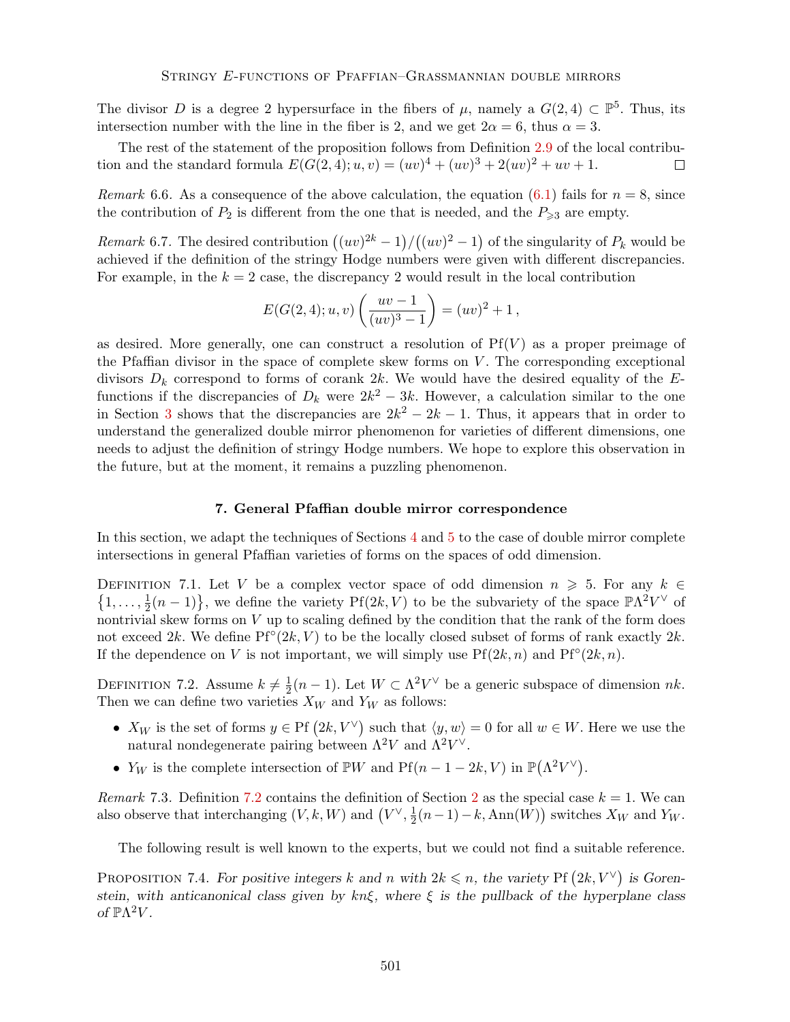The divisor *D* is a degree 2 hypersurface in the fibers of  $\mu$ , namely a  $G(2,4) \subset \mathbb{P}^5$ . Thus, its intersection number with the line in the fiber is 2, and we get  $2\alpha = 6$ , thus  $\alpha = 3$ .

The rest of the statement of the proposition follows from Definition 2.9 of the local contribution and the standard formula  $E(G(2,4); u, v) = (uv)^4 + (uv)^3 + 2(uv)^2 + uv + 1$ .  $\Box$ 

*Remark* 6.6. As a consequence of the above calculation, the equation (6.1) fails for  $n = 8$ , since the contribution of  $P_2$  is different from the one that is needed, and the  $P_{\geq 3}$  are empty.

*Remark* 6.7. The desired contribution  $((uv)^{2k} - 1)/((uv)^{2} - 1)$  of the singularity of  $P_k$  would be achieved if the definition of the stringy Hodge numbers were given with different discrepancies. For example, in the  $k = 2$  case, the discrepancy 2 would result in the local contribution

$$
E(G(2,4);u,v)\left(\frac{uv-1}{(uv)^3-1}\right) = (uv)^2 + 1,
$$

as desired. More generally, one can construct a resolution of  $Pf(V)$  as a proper preimage of the Pfaffian divisor in the space of complete skew forms on  $V$ . The corresponding exceptional divisors  $D_k$  correspond to forms of corank 2k. We would have the desired equality of the  $E$ functions if the discrepancies of  $D_k$  were  $2k^2 - 3k$ . However, a calculation similar to the one in Section 3 shows that the discrepancies are  $2k^2 - 2k - 1$ . Thus, it appears that in order to understand the generalized double mirror phenomenon for varieties of different dimensions, one needs to adjust the definition of stringy Hodge numbers. We hope to explore this observation in the future, but at the moment, it remains a puzzling phenomenon.

## 7. General Pfaffian double mirror correspondence

In this section, we adapt the techniques of Sections 4 and 5 to the case of double mirror complete intersections in general Pfaffian varieties of forms on the spaces of odd dimension.

DEFINITION 7.1. Let *V* be a complex vector space of odd dimension  $n \geq 5$ . For any  $k \in$  $\{1,\ldots,\frac{1}{2}(n-1)\}\,$ , we define the variety Pf(2k, V) to be the subvariety of the space  $\mathbb{P}\Lambda^2V^\vee$  of nontrivial skew forms on *V* up to scaling defined by the condition that the rank of the form does not exceed 2k. We define  $Pf^{\circ}(2k, V)$  to be the locally closed subset of forms of rank exactly 2k. If the dependence on *V* is not important, we will simply use  $Pf(2k, n)$  and  $Pf^{\circ}(2k, n)$ .

DEFINITION 7.2. Assume  $k \neq \frac{1}{2}(n-1)$ . Let  $W \subset \Lambda^2 V^{\vee}$  be a generic subspace of dimension *nk*. Then we can define two varieties  $X_W$  and  $Y_W$  as follows:

- $X_W$  is the set of forms  $y \in \text{Pf } (2k, V^{\vee})$  such that  $\langle y, w \rangle = 0$  for all  $w \in W$ . Here we use the natural nondegenerate pairing between  $\Lambda^2 V$  and  $\Lambda^2 V^{\vee}$ .
- *Y<sub>W</sub>* is the complete intersection of  $\mathbb{P}W$  and  $Pf(n-1-2k, V)$  in  $\mathbb{P}(\Lambda^2 V^{\vee})$ .

*Remark* 7.3. Definition 7.2 contains the definition of Section 2 as the special case  $k = 1$ . We can also observe that interchanging  $(V, k, W)$  and  $(V^{\vee}, \frac{1}{2}(n-1) - k, \text{Ann}(W))$  switches  $X_W$  and  $Y_W$ .

The following result is well known to the experts, but we could not find a suitable reference.

PROPOSITION 7.4. For positive integers k and n with  $2k \leq n$ , the variety Pf  $(2k, V^{\vee})$  is Goren*stein, with anticanonical class given by*  $kn\xi$ *, where*  $\xi$  *is the pullback of the hyperplane class of*  $\mathbb{P}\Lambda^2 V$ *.*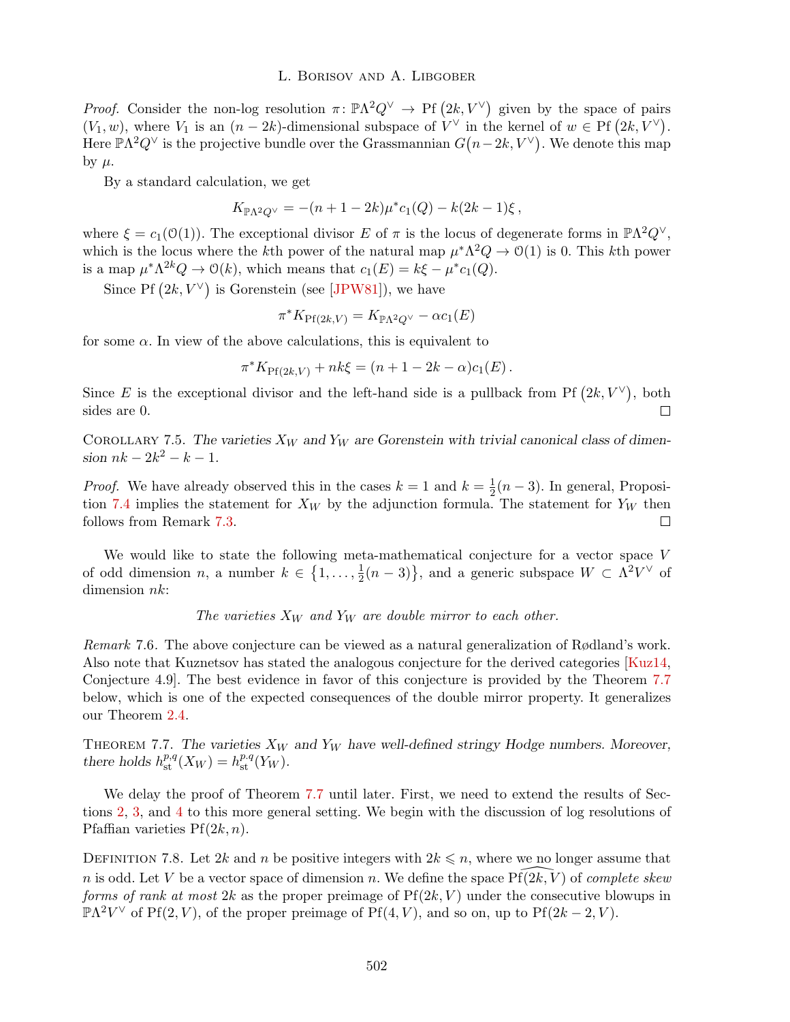*Proof.* Consider the non-log resolution  $\pi: \mathbb{P}\Lambda^2 Q^\vee \to \mathrm{Pf}(2k, V^\vee)$  given by the space of pairs  $(V_1, w)$ , where  $V_1$  is an  $(n-2k)$ -dimensional subspace of  $V^\vee$  in the kernel of  $w \in \mathrm{Pf}(2k, V^\vee)$ . Here  $\mathbb{P}\Lambda^2 Q^\vee$  is the projective bundle over the Grassmannian  $G(n-2k, V^\vee)$ . We denote this map by  $\mu$ .

By a standard calculation, we get

$$
K_{\mathbb{P}\Lambda^2 Q^{\vee}} = -(n+1-2k)\mu^* c_1(Q) - k(2k-1)\xi,
$$

where  $\xi = c_1(\mathcal{O}(1))$ . The exceptional divisor *E* of  $\pi$  is the locus of degenerate forms in  $\mathbb{P}\Lambda^2 Q^{\vee}$ , which is the locus where the *k*th power of the natural map  $\mu^*\Lambda^2 Q \to O(1)$  is 0. This *k*th power is a map  $\mu^*\Lambda^{2k}Q \to \mathcal{O}(k)$ , which means that  $c_1(E) = k\xi - \mu^*c_1(Q)$ .

Since Pf  $(2k, V^{\vee})$  is Gorenstein (see [JPW81]), we have

$$
\pi^* K_{\text{Pf}(2k,V)} = K_{\mathbb{P}\Lambda^2 Q^\vee} - \alpha c_1(E)
$$

for some  $\alpha$ . In view of the above calculations, this is equivalent to

 $\pi^* K_{\text{Pf}(2k,V)} + nk\xi = (n+1-2k-\alpha)c_1(E)$ .

Since E is the exceptional divisor and the left-hand side is a pullback from Pf  $(2k, V^{\vee})$ , both sides are 0.  $\Box$ 

COROLLARY 7.5. The varieties  $X_W$  and  $Y_W$  are Gorenstein with trivial canonical class of dimen*sion*  $nk - 2k^2 - k - 1$ .

*Proof.* We have already observed this in the cases  $k = 1$  and  $k = \frac{1}{2}(n-3)$ . In general, Proposition 7.4 implies the statement for  $X_W$  by the adjunction formula. The statement for  $Y_W$  then follows from Remark 7.3.  $\Box$ 

We would like to state the following meta-mathematical conjecture for a vector space *V* of odd dimension *n*, a number  $k \in \{1, \ldots, \frac{1}{2}(n-3)\}\$ , and a generic subspace  $W \subset \Lambda^2 V^\vee$  of dimension *nk*:

*The varieties*  $X_W$  *and*  $Y_W$  *are double mirror to each other.* 

*Remark* 7.6*.* The above conjecture can be viewed as a natural generalization of Rødland's work. Also note that Kuznetsov has stated the analogous conjecture for the derived categories [Kuz14, Conjecture 4.9]. The best evidence in favor of this conjecture is provided by the Theorem 7.7 below, which is one of the expected consequences of the double mirror property. It generalizes our Theorem 2.4.

Theorem 7.7. *The varieties X<sup>W</sup> and Y<sup>W</sup> have well-defined stringy Hodge numbers. Moreover, there holds*  $h_{\text{st}}^{p,q}(X_W) = h_{\text{st}}^{p,q}(Y_W)$ *.* 

We delay the proof of Theorem 7.7 until later. First, we need to extend the results of Sections 2, 3, and 4 to this more general setting. We begin with the discussion of log resolutions of Pfaffian varieties  $Pf(2k, n)$ .

DEFINITION 7.8. Let 2*k* and *n* be positive integers with  $2k \leq n$ , where we no longer assume that *n* is odd. Let *V* be a vector space of dimension *n*. We define the space  $Pf(2k, V)$  of *complete skew forms of rank at most*  $2k$  as the proper preimage of  $Pf(2k, V)$  under the consecutive blowups in  $\mathbb{P}\Lambda^2V^{\vee}$  of Pf(2*, V*), of the proper preimage of Pf(4*, V*), and so on, up to Pf(2*k* – 2*, V*).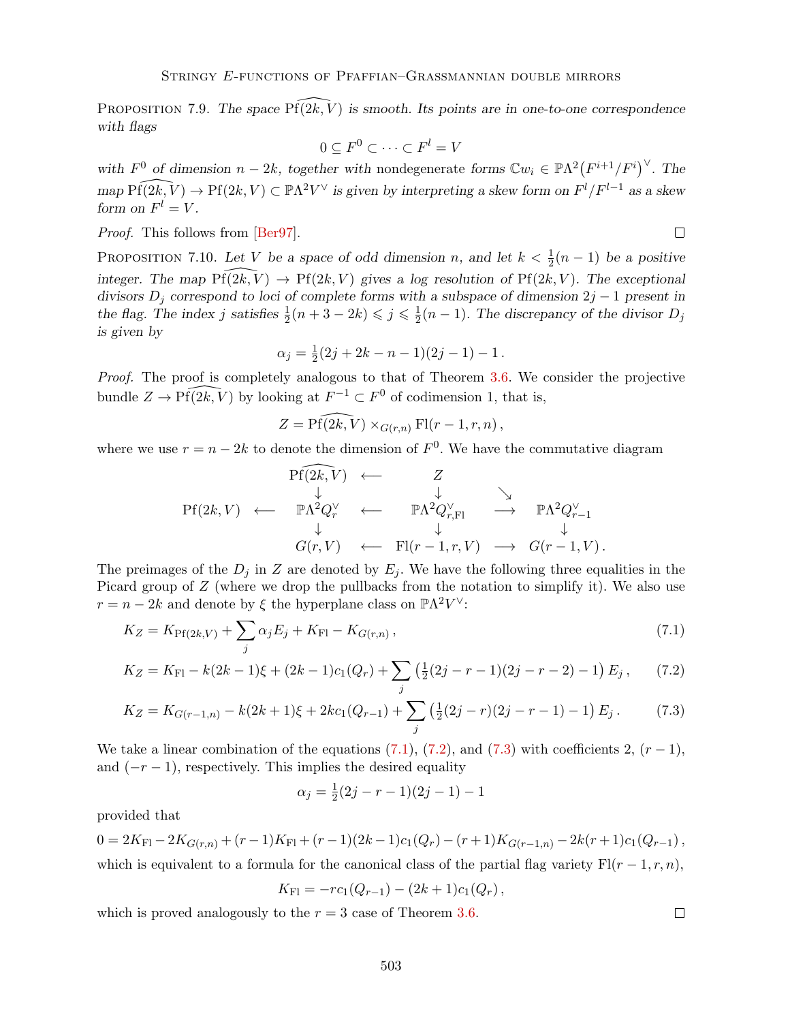PROPOSITION 7.9. The space  $\widehat{Pf(2k,V)}$  is smooth. Its points are in one-to-one correspondence *with flags*

$$
0 \subseteq F^0 \subset \cdots \subset F^l = V
$$

with  $F^0$  of dimension  $n-2k$ , together with nondegenerate forms  $\mathbb{C}w_i \in \mathbb{P}\Lambda^2(F^{i+1}/F^i)$ . The  $map \ Pf(2k, V) \to Pf(2k, V) \subset \mathbb{P}\Lambda^2 V^\vee$  *is given by interpreting a skew form on*  $F^l/F^{l-1}$  *as a skew form on*  $F^l = V$ .

*Proof.* This follows from [Ber97].

PROPOSITION 7.10. Let *V* be a space of odd dimension *n*, and let  $k < \frac{1}{2}(n-1)$  be a positive *integer. The map*  $\text{Pf}(2k, V) \rightarrow \text{Pf}(2k, V)$  *gives a log resolution of*  $\text{Pf}(2k, V)$ *. The exceptional divisors*  $D_j$  *correspond to loci of complete forms with a subspace of dimension*  $2j - 1$  *present in* the flag. The index *j* satisfies  $\frac{1}{2}(n+3-2k) \leq \frac{1}{2}(n-1)$ . The discrepancy of the divisor  $D_j$ *is given by*

$$
\alpha_j = \frac{1}{2}(2j + 2k - n - 1)(2j - 1) - 1.
$$

*Proof.* The proof is completely analogous to that of Theorem 3.6. We consider the projective bundle  $Z \to \widehat{Pf(2k, V)}$  by looking at  $F^{-1} \subset F^0$  of codimension 1, that is,

$$
Z = \widehat{\text{Pf}(2k,V)} \times_{G(r,n)} \text{Fl}(r-1,r,n),
$$

where we use  $r = n - 2k$  to denote the dimension of  $F<sup>0</sup>$ . We have the commutative diagram

$$
\begin{array}{ccccccc}\n& & & & \mathrm{Pf}(2k,\bar{V}) & \longleftarrow & & Z & & \\
& & \downarrow & & \downarrow & & \searrow & \\
& & \downarrow & & \downarrow & & \searrow & \\
& & \mathbb{P}\Lambda^2 Q_r^{\vee} & \longleftarrow & & \mathbb{P}\Lambda^2 Q_{r,\mathrm{Fl}}^{\vee} & \longrightarrow & \mathbb{P}\Lambda^2 Q_{r-1}^{\vee} \\
& & \downarrow & & \downarrow & & \downarrow & \\
& G(r,V) & \longleftarrow & \mathrm{Fl}(r-1,r,V) & \longrightarrow & G(r-1,V).\n\end{array}
$$

The preimages of the  $D_j$  in *Z* are denoted by  $E_j$ . We have the following three equalities in the Picard group of *Z* (where we drop the pullbacks from the notation to simplify it). We also use  $r = n - 2k$  and denote by  $\xi$  the hyperplane class on  $\mathbb{P}\Lambda^2 V^\vee$ :

$$
K_Z = K_{\text{Pf}(2k,V)} + \sum_{j} \alpha_j E_j + K_{\text{FI}} - K_{G(r,n)},
$$
\n(7.1)

$$
K_Z = K_{\rm Fl} - k(2k - 1)\xi + (2k - 1)c_1(Q_r) + \sum_j \left(\frac{1}{2}(2j - r - 1)(2j - r - 2) - 1\right)E_j, \tag{7.2}
$$

$$
K_Z = K_{G(r-1,n)} - k(2k+1)\xi + 2kc_1(Q_{r-1}) + \sum_j \left(\frac{1}{2}(2j-r)(2j-r-1) - 1\right)E_j.
$$
 (7.3)

We take a linear combination of the equations  $(7.1)$ ,  $(7.2)$ , and  $(7.3)$  with coefficients 2,  $(r-1)$ , and  $(-r - 1)$ , respectively. This implies the desired equality

$$
\alpha_j = \frac{1}{2}(2j - r - 1)(2j - 1) - 1
$$

provided that

$$
0 = 2K_{\text{Fl}} - 2K_{G(r,n)} + (r-1)K_{\text{Fl}} + (r-1)(2k-1)c_1(Q_r) - (r+1)K_{G(r-1,n)} - 2k(r+1)c_1(Q_{r-1}),
$$
  
which is equivalent to a formula for the canonical class of the partial flag variety  $\text{Fl}(r-1,r,n)$ ,

$$
K_{\rm Fl} = -rc_1(Q_{r-1}) - (2k+1)c_1(Q_r),
$$

which is proved analogously to the  $r = 3$  case of Theorem 3.6.

 $\Box$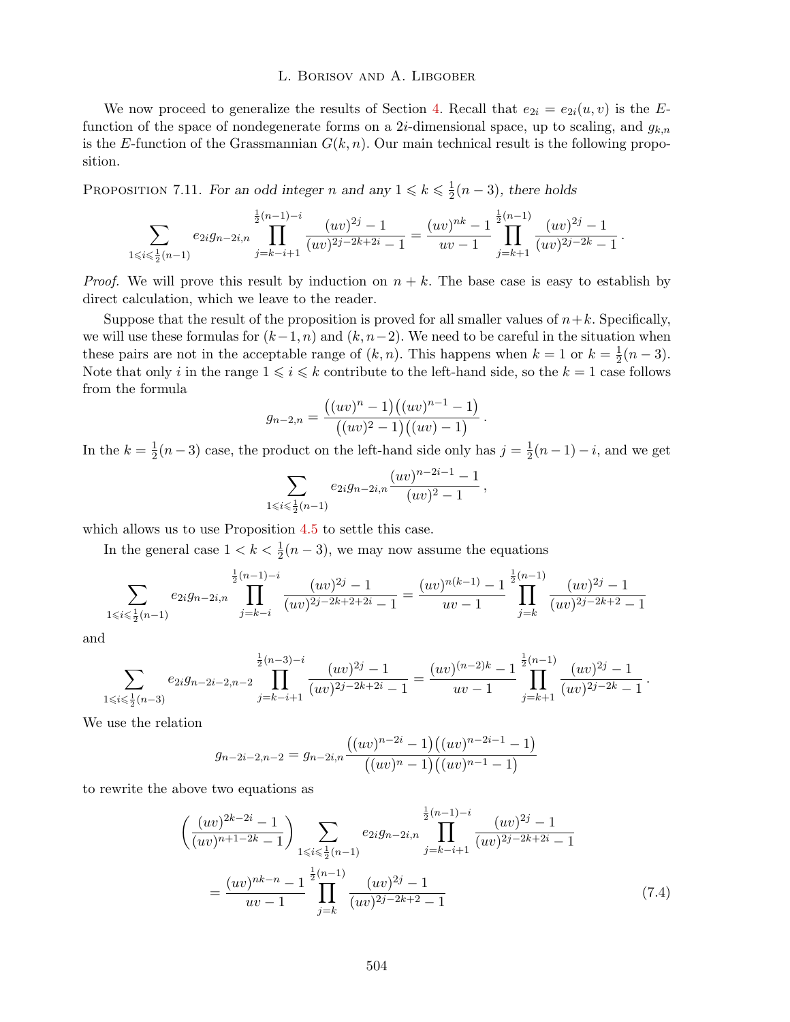We now proceed to generalize the results of Section 4. Recall that  $e_{2i} = e_{2i}(u, v)$  is the *E*function of the space of nondegenerate forms on a 2*i*-dimensional space, up to scaling, and *gk,n* is the *E*-function of the Grassmannian  $G(k, n)$ . Our main technical result is the following proposition.

PROPOSITION 7.11. *For an odd integer n* and any  $1 \le k \le \frac{1}{2}(n-3)$ , there holds

$$
\sum_{1 \leqslant i \leqslant \frac{1}{2}(n-1)} e_{2i}g_{n-2i,n} \prod_{j=k-i+1}^{\frac{1}{2}(n-1)-i} \frac{(uv)^{2j}-1}{(uv)^{2j-2k+2i}-1} = \frac{(uv)^{nk}-1}{uv-1} \prod_{j=k+1}^{\frac{1}{2}(n-1)} \frac{(uv)^{2j}-1}{(uv)^{2j-2k}-1}.
$$

*Proof.* We will prove this result by induction on  $n + k$ . The base case is easy to establish by direct calculation, which we leave to the reader.

Suppose that the result of the proposition is proved for all smaller values of  $n+k$ . Specifically, we will use these formulas for  $(k-1, n)$  and  $(k, n-2)$ . We need to be careful in the situation when these pairs are not in the acceptable range of  $(k, n)$ . This happens when  $k = 1$  or  $k = \frac{1}{2}(n-3)$ . Note that only *i* in the range  $1 \leq i \leq k$  contribute to the left-hand side, so the  $k = 1$  case follows from the formula

$$
g_{n-2,n} = \frac{((uv)^n - 1)((uv)^{n-1} - 1)}{((uv)^2 - 1)((uv) - 1)}.
$$

In the  $k = \frac{1}{2}(n-3)$  case, the product on the left-hand side only has  $j = \frac{1}{2}(n-1) - i$ , and we get

$$
\sum_{1 \leq i \leq \frac{1}{2}(n-1)} e_{2i}g_{n-2i,n} \frac{(uv)^{n-2i-1}-1}{(uv)^2-1},
$$

which allows us to use Proposition 4.5 to settle this case.

In the general case  $1 < k < \frac{1}{2}(n-3)$ , we may now assume the equations

$$
\sum_{1 \leq i \leq \frac{1}{2}(n-1)} e_{2i} g_{n-2i,n} \prod_{j=k-i}^{\frac{1}{2}(n-1)-i} \frac{(uv)^{2j}-1}{(uv)^{2j-2k+2+2i}-1} = \frac{(uv)^{n(k-1)}-1}{uv-1} \prod_{j=k}^{\frac{1}{2}(n-1)} \frac{(uv)^{2j}-1}{(uv)^{2j-2k+2}-1}
$$

and

$$
\sum_{1 \leq i \leq \frac{1}{2}(n-3)} e_{2i}g_{n-2i-2,n-2} \prod_{j=k-i+1}^{\frac{1}{2}(n-3)-i} \frac{(uv)^{2j}-1}{(uv)^{2j-2k+2i}-1} = \frac{(uv)^{(n-2)k}-1}{uv-1} \prod_{j=k+1}^{\frac{1}{2}(n-1)} \frac{(uv)^{2j}-1}{(uv)^{2j-2k}-1}.
$$

We use the relation

$$
g_{n-2i-2,n-2} = g_{n-2i,n} \frac{((uv)^{n-2i}-1)((uv)^{n-2i-1}-1)}{((uv)^{n}-1)((uv)^{n-1}-1)}
$$

to rewrite the above two equations as

$$
\left(\frac{(uv)^{2k-2i}-1}{(uv)^{n+1-2k}-1}\right) \sum_{1 \le i \le \frac{1}{2}(n-1)} e_{2i}g_{n-2i,n} \prod_{j=k-i+1}^{\frac{1}{2}(n-1)-i} \frac{(uv)^{2j}-1}{(uv)^{2j-2k+2i}-1}
$$
\n
$$
= \frac{(uv)^{nk-n}-1}{uv-1} \prod_{j=k}^{\frac{1}{2}(n-1)} \frac{(uv)^{2j}-1}{(uv)^{2j-2k+2}-1} \tag{7.4}
$$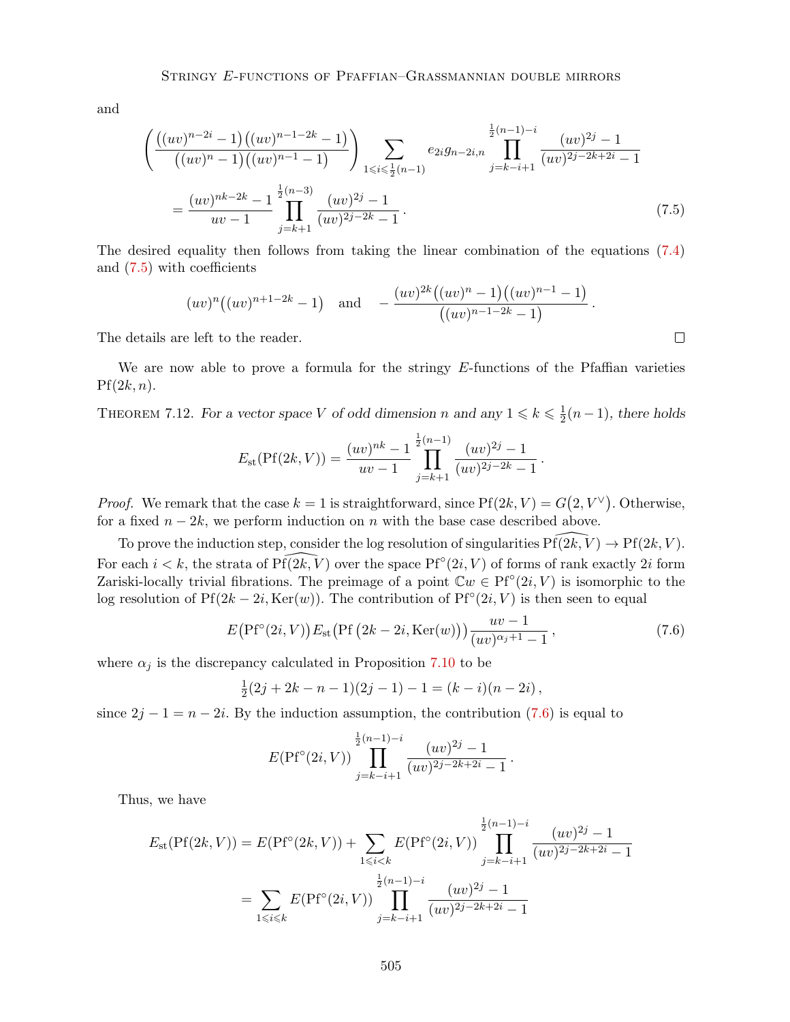and

$$
\left(\frac{\left((uv)^{n-2i}-1\right)\left((uv)^{n-1-2k}-1\right)}{\left((uv)^{n}-1\right)\left((uv)^{n-1}-1\right)}\right) \sum_{1 \leq i \leq \frac{1}{2}(n-1)} e_{2i}g_{n-2i,n} \prod_{j=k-i+1}^{\frac{1}{2}(n-1)-i} \frac{(uv)^{2j}-1}{(uv)^{2j-2k+2i}-1}
$$
\n
$$
= \frac{(uv)^{nk-2k}-1}{uv-1} \prod_{j=k+1}^{\frac{1}{2}(n-3)} \frac{(uv)^{2j}-1}{(uv)^{2j-2k}-1}.
$$
\n(7.5)

The desired equality then follows from taking the linear combination of the equations (7.4) and  $(7.5)$  with coefficients

$$
(uv)^n((uv)^{n+1-2k}-1)
$$
 and  $-\frac{(uv)^{2k}((uv)^n-1)((uv)^{n-1}-1)}{((uv)^{n-1-2k}-1)}$ .

 $\Box$ 

The details are left to the reader.

We are now able to prove a formula for the stringy E-functions of the Pfaffian varieties  $Pf(2k, n)$ .

THEOREM 7.12. *For a vector space V of odd dimension n* and any  $1 \le k \le \frac{1}{2}(n-1)$ *, there holds* 

$$
E_{\rm st}(\Pr(2k,V)) = \frac{(uv)^{nk} - 1}{uv - 1} \prod_{j=k+1}^{\frac{1}{2}(n-1)} \frac{(uv)^{2j} - 1}{(uv)^{2j - 2k} - 1}.
$$

*Proof.* We remark that the case  $k = 1$  is straightforward, since  $Pf(2k, V) = G(2, V^{\vee})$ . Otherwise, for a fixed  $n - 2k$ , we perform induction on *n* with the base case described above.

To prove the induction step, consider the log resolution of singularities  $P\{X,\tilde{V}\}\to P\{X,K\}$ . For each  $i < k$ , the strata of  $Pf(2k, V)$  over the space  $Pf^{\circ}(2i, V)$  of forms of rank exactly 2*i* form Zariski-locally trivial fibrations. The preimage of a point  $\mathbb{C}w \in Pf^{\circ}(2i, V)$  is isomorphic to the log resolution of  $Pf(2k - 2i, \text{Ker}(w))$ . The contribution of  $Pf^{\circ}(2i, V)$  is then seen to equal

$$
E\big(\text{Pf}^{\circ}(2i,V)\big)E_{\text{st}}\big(\text{Pf}\left(2k-2i,\text{Ker}(w)\right)\big)\frac{uv-1}{(uv)^{\alpha_j+1}-1},\tag{7.6}
$$

where  $\alpha_j$  is the discrepancy calculated in Proposition 7.10 to be

$$
\frac{1}{2}(2j + 2k - n - 1)(2j - 1) - 1 = (k - i)(n - 2i),
$$

since  $2j - 1 = n - 2i$ . By the induction assumption, the contribution (7.6) is equal to

$$
E(\mathrm{Pf}^{\circ}(2i,V))\prod_{j=k-i+1}^{\frac{1}{2}(n-1)-i}\frac{(uv)^{2j}-1}{(uv)^{2j-2k+2i}-1}.
$$

Thus, we have

$$
E_{\text{st}}(\text{Pf}(2k, V)) = E(\text{Pf}^{\circ}(2k, V)) + \sum_{1 \le i < k} E(\text{Pf}^{\circ}(2i, V)) \prod_{j=k-i+1}^{\frac{1}{2}(n-1)-i} \frac{(uv)^{2j} - 1}{(uv)^{2j-2k+2i} - 1}
$$
\n
$$
= \sum_{1 \le i \le k} E(\text{Pf}^{\circ}(2i, V)) \prod_{j=k-i+1}^{\frac{1}{2}(n-1)-i} \frac{(uv)^{2j} - 1}{(uv)^{2j-2k+2i} - 1}
$$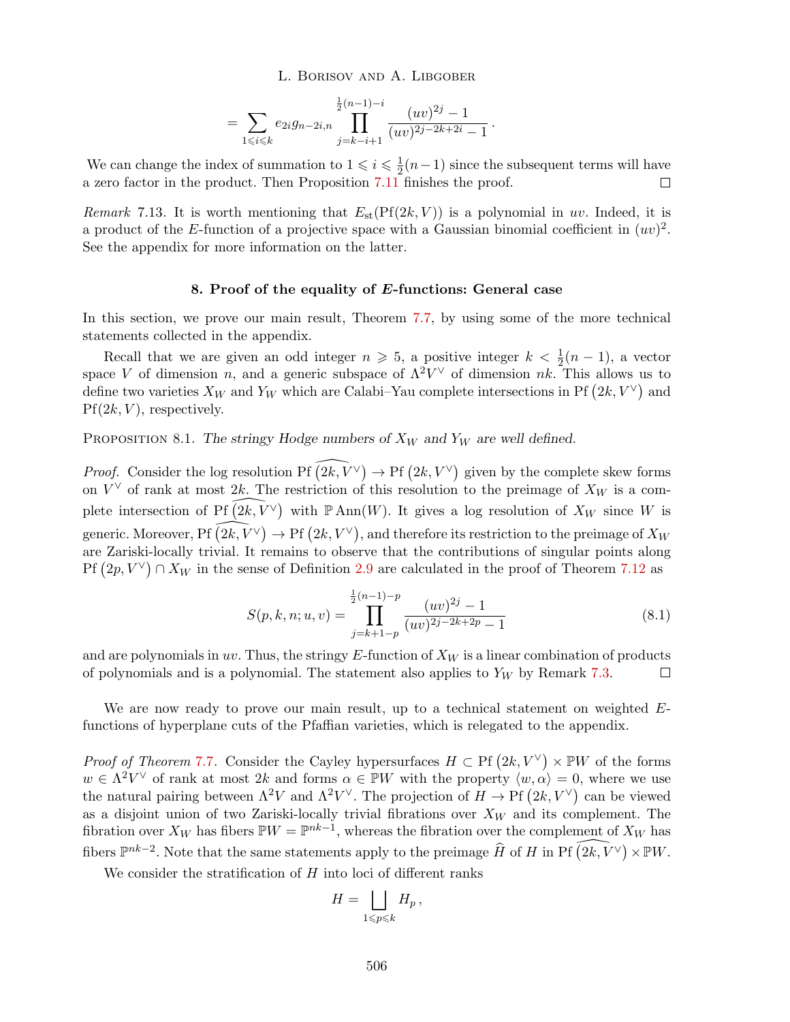$$
= \sum_{1 \leq i \leq k} e_{2i} g_{n-2i,n} \prod_{j=k-i+1}^{\frac{1}{2}(n-1)-i} \frac{(uv)^{2j}-1}{(uv)^{2j-2k+2i}-1}.
$$

We can change the index of summation to  $1 \leqslant i \leqslant \frac{1}{2}(n-1)$  since the subsequent terms will have a zero factor in the product. Then Proposition 7.11 finishes the proof.

*Remark* 7.13. It is worth mentioning that  $E_{st}(Pf(2k, V))$  is a polynomial in *uv*. Indeed, it is a product of the *E*-function of a projective space with a Gaussian binomial coefficient in  $(uv)^2$ . See the appendix for more information on the latter.

# 8. Proof of the equality of *E*-functions: General case

In this section, we prove our main result, Theorem 7.7, by using some of the more technical statements collected in the appendix.

Recall that we are given an odd integer  $n \ge 5$ , a positive integer  $k < \frac{1}{2}(n-1)$ , a vector space *V* of dimension *n*, and a generic subspace of  $\Lambda^2 V^{\vee}$  of dimension *nk*. This allows us to define two varieties  $X_W$  and  $Y_W$  which are Calabi–Yau complete intersections in Pf  $(2k, V^{\vee})$  and Pf(2*k, V* ), respectively.

PROPOSITION 8.1. The stringy Hodge numbers of  $X_W$  and  $Y_W$  are well defined.

*Proof.* Consider the log resolution  $\text{Pf} \left(2k, V^{\vee}\right) \to \text{Pf} \left(2k, V^{\vee}\right)$  given by the complete skew forms on  $V^{\vee}$  of rank at most 2k. The restriction of this resolution to the preimage of  $X_W$  is a complete intersection of Pf  $\widehat{(2k, V^{\vee})}$  with P Ann $(W)$ . It gives a log resolution of  $X_W$  since W is  $\gamma$  generic. Moreover,  $\mathrm{Pf}\left(2k, V^{\vee}\right) \to \mathrm{Pf}\left(2k, V^{\vee}\right)$ , and therefore its restriction to the preimage of  $X_W$ are Zariski-locally trivial. It remains to observe that the contributions of singular points along  $Pf(2p, V^{\vee}) \cap X_W$  in the sense of Definition 2.9 are calculated in the proof of Theorem 7.12 as

$$
S(p,k,n;u,v) = \prod_{j=k+1-p}^{\frac{1}{2}(n-1)-p} \frac{(uv)^{2j} - 1}{(uv)^{2j-2k+2p} - 1}
$$
(8.1)

and are polynomials in *uv*. Thus, the stringy *E*-function of *X<sup>W</sup>* is a linear combination of products of polynomials and is a polynomial. The statement also applies to  $Y_W$  by Remark 7.3.  $\Box$ 

We are now ready to prove our main result, up to a technical statement on weighted *E*functions of hyperplane cuts of the Pfaffian varieties, which is relegated to the appendix.

*Proof of Theorem* 7.7. Consider the Cayley hypersurfaces  $H \subset \mathrm{Pf} (2k, V^{\vee}) \times \mathbb{P}W$  of the forms  $w \in \Lambda^2 V^\vee$  of rank at most 2*k* and forms  $\alpha \in \mathbb{P}W$  with the property  $\langle w, \alpha \rangle = 0$ , where we use the natural pairing between  $\Lambda^2 V$  and  $\Lambda^2 V^{\vee}$ . The projection of  $H \to \mathrm{Pf}(2k, V^{\vee})$  can be viewed as a disjoint union of two Zariski-locally trivial fibrations over *X<sup>W</sup>* and its complement. The fibration over  $X_W$  has fibers  $\mathbb{P}W = \mathbb{P}^{nk-1}$ , whereas the fibration over the complement of  $X_W$  has fibers  $\mathbb{P}^{nk-2}$ . Note that the same statements apply to the preimage  $\widehat{H}$  of *H* in Pf  $\widehat{(2k, V^{\vee})} \times \mathbb{P}W$ .

We consider the stratification of  $H$  into loci of different ranks

$$
H=\bigsqcup_{1\leqslant p\leqslant k}H_p\,,
$$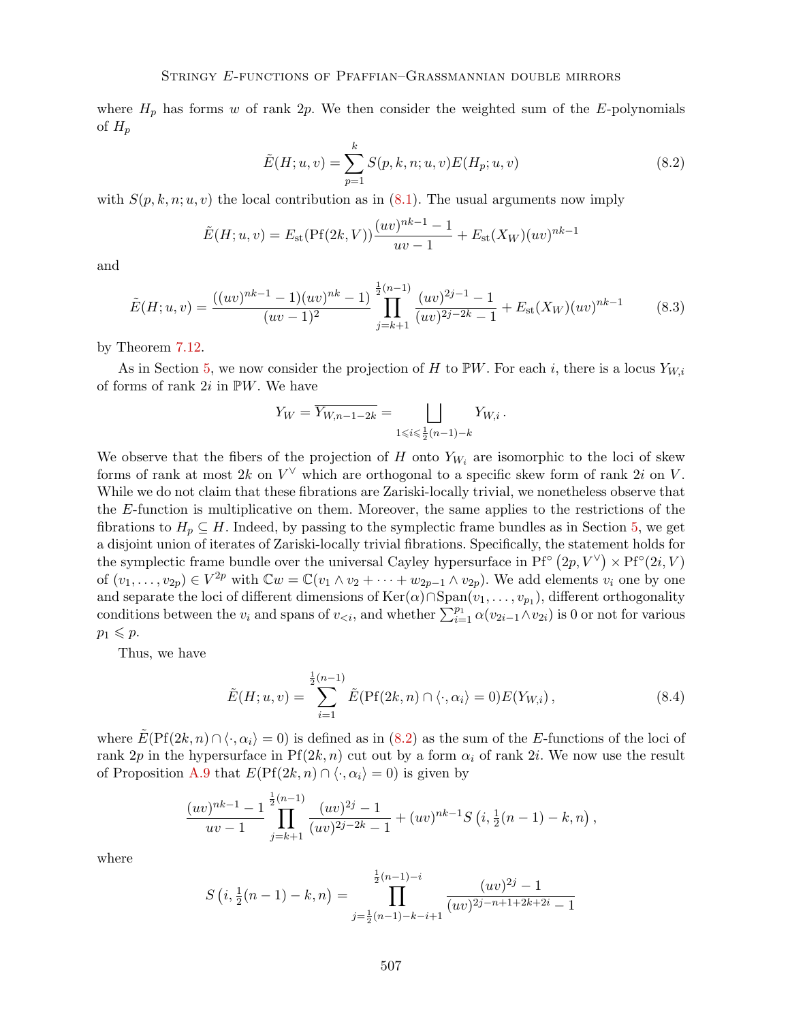where  $H_p$  has forms *w* of rank 2*p*. We then consider the weighted sum of the *E*-polynomials of  $H_p$ 

$$
\tilde{E}(H; u, v) = \sum_{p=1}^{k} S(p, k, n; u, v) E(H_p; u, v)
$$
\n(8.2)

with  $S(p, k, n; u, v)$  the local contribution as in  $(8.1)$ . The usual arguments now imply

$$
\tilde{E}(H; u, v) = E_{\text{st}}(\text{Pf}(2k, V)) \frac{(uv)^{nk-1} - 1}{uv - 1} + E_{\text{st}}(X_W)(uv)^{nk-1}
$$

and

$$
\tilde{E}(H;u,v) = \frac{((uv)^{nk-1} - 1)(uv)^{nk} - 1}{(uv - 1)^2} \prod_{j=k+1}^{\frac{1}{2}(n-1)} \frac{(uv)^{2j-1} - 1}{(uv)^{2j-2k} - 1} + E_{\text{st}}(X_W)(uv)^{nk-1}
$$
(8.3)

by Theorem 7.12.

As in Section 5, we now consider the projection of *H* to PW. For each *i*, there is a locus  $Y_{W,i}$ of forms of rank 2*i* in P*W*. We have

$$
Y_W = \overline{Y_{W,n-1-2k}} = \bigsqcup_{1 \le i \le \frac{1}{2}(n-1)-k} Y_{W,i} \, .
$$

We observe that the fibers of the projection of *H* onto  $Y_{W_i}$  are isomorphic to the loci of skew forms of rank at most  $2k$  on  $V^{\vee}$  which are orthogonal to a specific skew form of rank  $2i$  on V. While we do not claim that these fibrations are Zariski-locally trivial, we nonetheless observe that the *E*-function is multiplicative on them. Moreover, the same applies to the restrictions of the fibrations to  $H_p \subseteq H$ . Indeed, by passing to the symplectic frame bundles as in Section 5, we get a disjoint union of iterates of Zariski-locally trivial fibrations. Specifically, the statement holds for the symplectic frame bundle over the universal Cayley hypersurface in Pf<sup>o</sup>  $(2p, V^{\vee}) \times P f^{\circ}(2i, V)$ of  $(v_1, \ldots, v_{2p}) \in V^{2p}$  with  $\mathbb{C}w = \mathbb{C}(v_1 \wedge v_2 + \cdots + w_{2p-1} \wedge v_{2p})$ . We add elements  $v_i$  one by one and separate the loci of different dimensions of  $\text{Ker}(\alpha) \cap \text{Span}(v_1, \ldots, v_{p_1})$ , different orthogonality conditions between the  $v_i$  and spans of  $v_{\leq i}$ , and whether  $\sum_{i=1}^{p_1} \alpha(v_{2i-1} \wedge v_{2i})$  is 0 or not for various  $p_1 \leqslant p$ .

Thus, we have

$$
\tilde{E}(H;u,v) = \sum_{i=1}^{\frac{1}{2}(n-1)} \tilde{E}(\text{Pf}(2k,n) \cap \langle \cdot, \alpha_i \rangle = 0) E(Y_{W,i}), \qquad (8.4)
$$

where  $E(\text{Pf}(2k, n) \cap \langle \cdot, \alpha_i \rangle = 0)$  is defined as in (8.2) as the sum of the *E*-functions of the loci of rank 2*p* in the hypersurface in  $Pf(2k, n)$  cut out by a form  $\alpha_i$  of rank 2*i*. We now use the result of Proposition A.9 that  $E(\text{Pf}(2k, n) \cap \langle \cdot, \alpha_i \rangle = 0)$  is given by

$$
\frac{(uv)^{nk-1}-1}{uv-1}\prod_{j=k+1}^{\frac{1}{2}(n-1)}\frac{(uv)^{2j}-1}{(uv)^{2j-2k}-1}+(uv)^{nk-1}S\left(i,\frac{1}{2}(n-1)-k,n\right),
$$

where

$$
S(i, \frac{1}{2}(n-1) - k, n) = \prod_{j=\frac{1}{2}(n-1)-k-i+1}^{\frac{1}{2}(n-1)-i} \frac{(uv)^{2j} - 1}{(uv)^{2j-n+1+2k+2i} - 1}
$$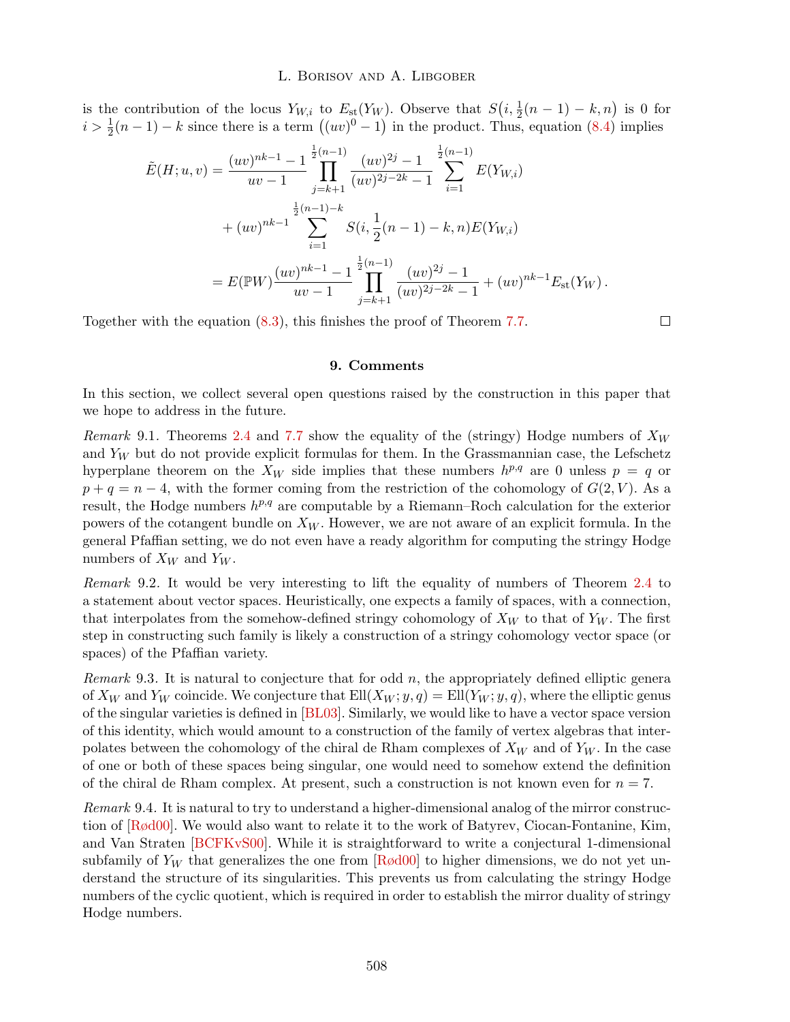is the contribution of the locus  $Y_{W,i}$  to  $E_{st}(Y_W)$ . Observe that  $S(i, \frac{1}{2}(n-1) - k, n)$  is 0 for  $i > \frac{1}{2}(n-1) - k$  since there is a term  $((uv)^0 - 1)$  in the product. Thus, equation  $(8.4)$  implies

$$
\tilde{E}(H; u, v) = \frac{(uv)^{nk-1} - 1}{uv - 1} \prod_{j=k+1}^{\frac{1}{2}(n-1)} \frac{(uv)^{2j} - 1}{(uv)^{2j-2k} - 1} \sum_{i=1}^{\frac{1}{2}(n-1)} E(Y_{W,i})
$$
\n
$$
+ (uv)^{nk-1} \sum_{i=1}^{\frac{1}{2}(n-1)-k} S(i, \frac{1}{2}(n-1) - k, n) E(Y_{W,i})
$$
\n
$$
= E(\mathbb{P}W) \frac{(uv)^{nk-1} - 1}{uv - 1} \prod_{j=k+1}^{\frac{1}{2}(n-1)} \frac{(uv)^{2j} - 1}{(uv)^{2j-2k} - 1} + (uv)^{nk-1} E_{\text{st}}(Y_W).
$$

Together with the equation (8.3), this finishes the proof of Theorem 7.7.

 $\Box$ 

# 9. Comments

In this section, we collect several open questions raised by the construction in this paper that we hope to address in the future.

*Remark* 9.1*.* Theorems 2.4 and 7.7 show the equality of the (stringy) Hodge numbers of *X<sup>W</sup>* and  $Y_W$  but do not provide explicit formulas for them. In the Grassmannian case, the Lefschetz hyperplane theorem on the  $X_W$  side implies that these numbers  $h^{p,q}$  are 0 unless  $p = q$  or  $p + q = n - 4$ , with the former coming from the restriction of the cohomology of  $G(2, V)$ . As a result, the Hodge numbers *hp,q* are computable by a Riemann–Roch calculation for the exterior powers of the cotangent bundle on *X<sup>W</sup>* . However, we are not aware of an explicit formula. In the general Pfaan setting, we do not even have a ready algorithm for computing the stringy Hodge numbers of  $X_W$  and  $Y_W$ .

*Remark* 9.2*.* It would be very interesting to lift the equality of numbers of Theorem 2.4 to a statement about vector spaces. Heuristically, one expects a family of spaces, with a connection, that interpolates from the somehow-defined stringy cohomology of  $X_W$  to that of  $Y_W$ . The first step in constructing such family is likely a construction of a stringy cohomology vector space (or spaces) of the Pfaffian variety.

*Remark* 9.3*.* It is natural to conjecture that for odd *n*, the appropriately defined elliptic genera of  $X_W$  and  $Y_W$  coincide. We conjecture that  $Ell(X_W; y, q) = Ell(Y_W; y, q)$ , where the elliptic genus of the singular varieties is defined in [BL03]. Similarly, we would like to have a vector space version of this identity, which would amount to a construction of the family of vertex algebras that interpolates between the cohomology of the chiral de Rham complexes of *X<sup>W</sup>* and of *Y<sup>W</sup>* . In the case of one or both of these spaces being singular, one would need to somehow extend the definition of the chiral de Rham complex. At present, such a construction is not known even for  $n = 7$ .

*Remark* 9.4*.* It is natural to try to understand a higher-dimensional analog of the mirror construction of [Rød00]. We would also want to relate it to the work of Batyrev, Ciocan-Fontanine, Kim, and Van Straten [BCFKvS00]. While it is straightforward to write a conjectural 1-dimensional subfamily of  $Y_W$  that generalizes the one from  $\lceil R \phi d00 \rceil$  to higher dimensions, we do not yet understand the structure of its singularities. This prevents us from calculating the stringy Hodge numbers of the cyclic quotient, which is required in order to establish the mirror duality of stringy Hodge numbers.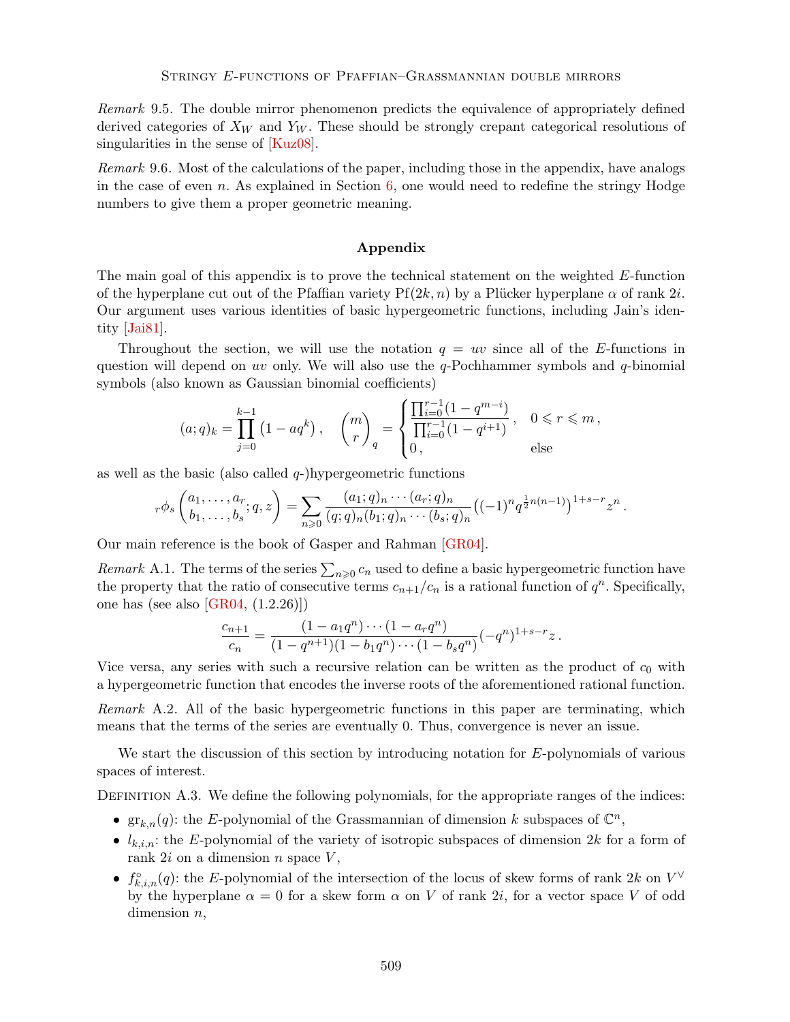*Remark* 9.5*.* The double mirror phenomenon predicts the equivalence of appropriately defined derived categories of *X<sup>W</sup>* and *Y<sup>W</sup>* . These should be strongly crepant categorical resolutions of singularities in the sense of [Kuz08].

*Remark* 9.6*.* Most of the calculations of the paper, including those in the appendix, have analogs in the case of even *n*. As explained in Section 6, one would need to redefine the stringy Hodge numbers to give them a proper geometric meaning.

# Appendix

The main goal of this appendix is to prove the technical statement on the weighted *E*-function of the hyperplane cut out of the Pfaffian variety  $Pf(2k, n)$  by a Plücker hyperplane  $\alpha$  of rank 2*i*. Our argument uses various identities of basic hypergeometric functions, including Jain's identity [Jai81].

Throughout the section, we will use the notation  $q = uv$  since all of the *E*-functions in question will depend on *uv* only. We will also use the *q*-Pochhammer symbols and *q*-binomial symbols (also known as Gaussian binomial coefficients)

$$
(a;q)_k = \prod_{j=0}^{k-1} \left(1 - aq^k\right), \quad \binom{m}{r}_q = \begin{cases} \frac{\prod_{i=0}^{r-1} \left(1 - q^{m-i}\right)}{\prod_{i=0}^{r-1} \left(1 - q^{i+1}\right)}, & 0 \leqslant r \leqslant m, \\ 0, & \text{else} \end{cases}
$$

as well as the basic (also called *q*-)hypergeometric functions

$$
{}_r\phi_s\begin{pmatrix}a_1,\ldots,a_r\\b_1,\ldots,b_s\end{pmatrix}=\sum_{n\geqslant 0}\frac{(a_1;q)_n\cdots(a_r;q)_n}{(q;q)_n(b_1;q)_n\cdots(b_s;q)_n}((-1)^nq^{\frac{1}{2}n(n-1)})^{1+s-r}z^n.
$$

Our main reference is the book of Gasper and Rahman [GR04].

*Remark* A.1. The terms of the series  $\sum_{n\geqslant0}c_n$  used to define a basic hypergeometric function have the property that the ratio of consecutive terms  $c_{n+1}/c_n$  is a rational function of  $q^n$ . Specifically, one has (see also [GR04, (1.2.26)])

$$
\frac{c_{n+1}}{c_n} = \frac{(1 - a_1 q^n) \cdots (1 - a_r q^n)}{(1 - q^{n+1})(1 - b_1 q^n) \cdots (1 - b_s q^n)} (-q^n)^{1+s-r} z.
$$

Vice versa, any series with such a recursive relation can be written as the product of  $c_0$  with a hypergeometric function that encodes the inverse roots of the aforementioned rational function.

*Remark* A.2*.* All of the basic hypergeometric functions in this paper are terminating, which means that the terms of the series are eventually 0. Thus, convergence is never an issue.

We start the discussion of this section by introducing notation for *E*-polynomials of various spaces of interest.

DEFINITION A.3. We define the following polynomials, for the appropriate ranges of the indices:

- $gr_{k,n}(q)$ : the *E*-polynomial of the Grassmannian of dimension *k* subspaces of  $\mathbb{C}^n$ ,
- $l_{k,i,n}$ : the *E*-polynomial of the variety of isotropic subspaces of dimension 2*k* for a form of rank 2*i* on a dimension *n* space *V* ,
- $f_{k,i,n}^{\circ}(q)$ : the *E*-polynomial of the intersection of the locus of skew forms of rank 2*k* on  $V^{\vee}$ by the hyperplane  $\alpha = 0$  for a skew form  $\alpha$  on *V* of rank 2*i*, for a vector space *V* of odd dimension *n*,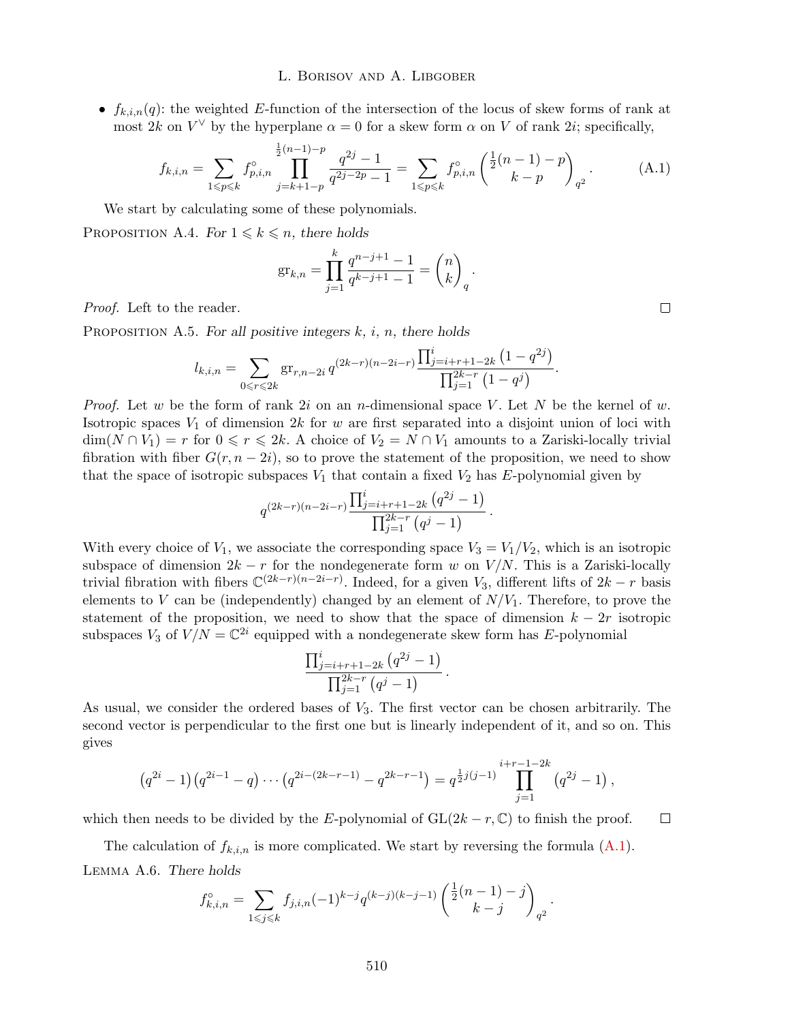•  $f_{k,i,n}(q)$ : the weighted *E*-function of the intersection of the locus of skew forms of rank at most 2*k* on  $V^{\vee}$  by the hyperplane  $\alpha = 0$  for a skew form  $\alpha$  on *V* of rank 2*i*; specifically,

$$
f_{k,i,n} = \sum_{1 \le p \le k} f_{p,i,n}^{\circ} \prod_{j=k+1-p}^{\frac{1}{2}(n-1)-p} \frac{q^{2j}-1}{q^{2j-2p}-1} = \sum_{1 \le p \le k} f_{p,i,n}^{\circ} \left(\frac{\frac{1}{2}(n-1)-p}{k-p}\right)_{q^2}.
$$
 (A.1)

*.*

We start by calculating some of these polynomials.

PROPOSITION A.4. *For*  $1 \leq k \leq n$ *, there holds* 

$$
\mathrm{gr}_{k,n} = \prod_{j=1}^k \frac{q^{n-j+1} - 1}{q^{k-j+1} - 1} = \binom{n}{k}_q
$$

*Proof.* Left to the reader.

Proposition A.5. *For all positive integers k, i, n, there holds*

$$
l_{k,i,n} = \sum_{0 \leq r \leq 2k} \operatorname{gr}_{r,n-2i} q^{(2k-r)(n-2i-r)} \frac{\prod_{j=i+r+1-2k}^{i} (1 - q^{2j})}{\prod_{j=1}^{2k-r} (1 - q^{j})}.
$$

*Proof.* Let *w* be the form of rank 2*i* on an *n*-dimensional space *V* . Let *N* be the kernel of *w*. Isotropic spaces *V*<sup>1</sup> of dimension 2*k* for *w* are first separated into a disjoint union of loci with  $\dim(N \cap V_1) = r$  for  $0 \le r \le 2k$ . A choice of  $V_2 = N \cap V_1$  amounts to a Zariski-locally trivial fibration with fiber  $G(r, n-2i)$ , so to prove the statement of the proposition, we need to show that the space of isotropic subspaces  $V_1$  that contain a fixed  $V_2$  has E-polynomial given by

$$
q^{(2k-r)(n-2i-r)} \frac{\prod_{j=i+r+1-2k}^{i} (q^{2j} - 1)}{\prod_{j=1}^{2k-r} (q^{j} - 1)}.
$$

With every choice of  $V_1$ , we associate the corresponding space  $V_3 = V_1/V_2$ , which is an isotropic subspace of dimension  $2k - r$  for the nondegenerate form *w* on  $V/N$ . This is a Zariski-locally trivial fibration with fibers  $\mathbb{C}^{(2k-r)(n-2i-r)}$ . Indeed, for a given *V*<sub>3</sub>, different lifts of  $2k - r$  basis elements to *V* can be (independently) changed by an element of  $N/V_1$ . Therefore, to prove the statement of the proposition, we need to show that the space of dimension  $k - 2r$  isotropic subspaces  $V_3$  of  $V/N = \mathbb{C}^{2i}$  equipped with a nondegenerate skew form has *E*-polynomial

$$
\frac{\prod_{j=i+r+1-2k}^{i} (q^{2j} - 1)}{\prod_{j=1}^{2k-r} (q^{j} - 1)}.
$$

As usual, we consider the ordered bases of *V*3. The first vector can be chosen arbitrarily. The second vector is perpendicular to the first one but is linearly independent of it, and so on. This gives

$$
(q^{2i}-1)(q^{2i-1}-q)\cdots(q^{2i-(2k-r-1)}-q^{2k-r-1})=q^{\frac{1}{2}j(j-1)}\prod_{j=1}^{i+r-1-2k}(q^{2j}-1),
$$

which then needs to be divided by the *E*-polynomial of  $GL(2k - r, \mathbb{C})$  to finish the proof.  $\Box$ 

The calculation of  $f_{k,i,n}$  is more complicated. We start by reversing the formula  $(A.1)$ . Lemma A.6. *There holds*

$$
f_{k,i,n}^{\circ} = \sum_{1 \leq j \leq k} f_{j,i,n}(-1)^{k-j} q^{(k-j)(k-j-1)} \left( \frac{\frac{1}{2}(n-1)-j}{k-j} \right)_{q^2}.
$$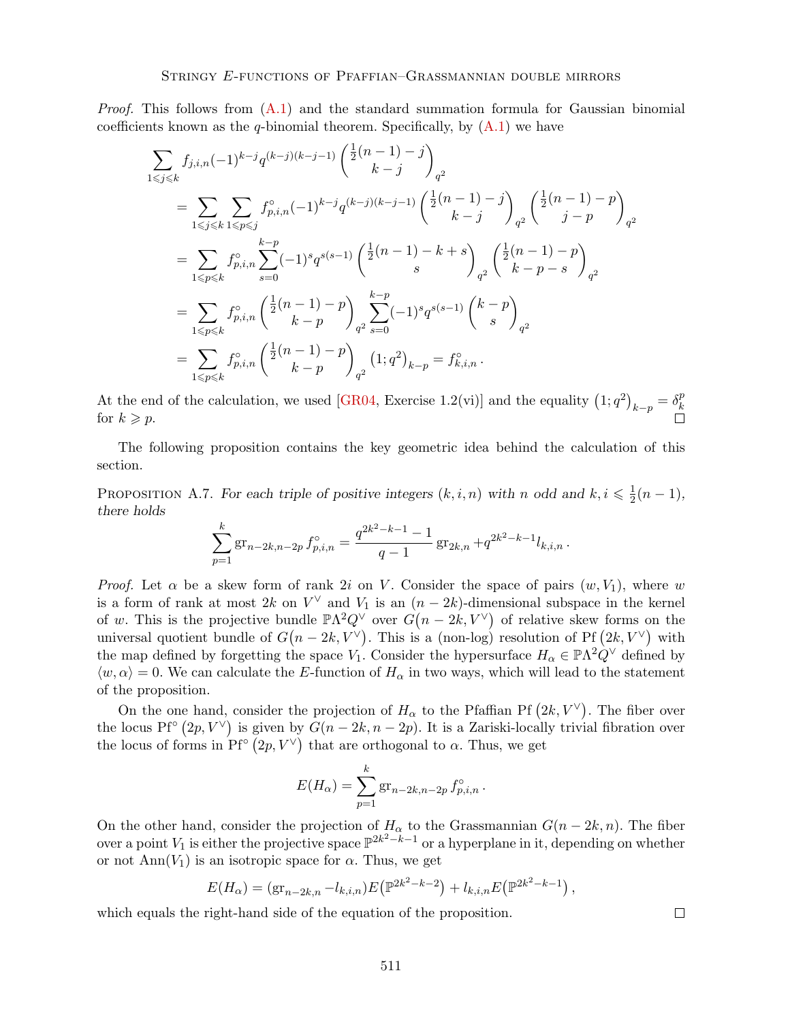*Proof.* This follows from  $(A.1)$  and the standard summation formula for Gaussian binomial coefficients known as the  $q$ -binomial theorem. Specifically, by  $(A.1)$  we have

$$
\sum_{1 \leqslant j \leqslant k} f_{j,i,n}(-1)^{k-j} q^{(k-j)(k-j-1)} \begin{pmatrix} \frac{1}{2}(n-1) - j \ k - j \end{pmatrix}_{q^2}
$$
\n
$$
= \sum_{1 \leqslant j \leqslant k} \sum_{1 \leqslant p \leqslant j} f_{p,i,n}^{\circ}(-1)^{k-j} q^{(k-j)(k-j-1)} \begin{pmatrix} \frac{1}{2}(n-1) - j \ k - j \end{pmatrix}_{q^2} \begin{pmatrix} \frac{1}{2}(n-1) - p \ j - p \end{pmatrix}_{q^2}
$$
\n
$$
= \sum_{1 \leqslant p \leqslant k} f_{p,i,n}^{\circ} \sum_{s=0}^{k-p} (-1)^s q^{s(s-1)} \begin{pmatrix} \frac{1}{2}(n-1) - k + s \ s \end{pmatrix}_{q^2} \begin{pmatrix} \frac{1}{2}(n-1) - p \ k - p - s \end{pmatrix}_{q^2}
$$
\n
$$
= \sum_{1 \leqslant p \leqslant k} f_{p,i,n}^{\circ} \begin{pmatrix} \frac{1}{2}(n-1) - p \ k - p \end{pmatrix}_{q^2} \sum_{s=0}^{k-p} (-1)^s q^{s(s-1)} \begin{pmatrix} k-p \ s \end{pmatrix}_{q^2}
$$
\n
$$
= \sum_{1 \leqslant p \leqslant k} f_{p,i,n}^{\circ} \begin{pmatrix} \frac{1}{2}(n-1) - p \ k - p \end{pmatrix}_{q^2} (1; q^2)_{k-p} = f_{k,i,n}^{\circ}.
$$

At the end of the calculation, we used [GR04, Exercise 1.2(vi)] and the equality  $(1; q^2)_{k-p} = \delta_k^p$ *k* for  $k \geqslant p$ .

The following proposition contains the key geometric idea behind the calculation of this section.

PROPOSITION A.7. *For each triple of positive integers*  $(k, i, n)$  *with n odd and*  $k, i \leq \frac{1}{2}(n-1)$ *, there holds*

$$
\sum_{p=1}^{k} \operatorname{gr}_{n-2k,n-2p} f_{p,i,n}^{\circ} = \frac{q^{2k^2-k-1}-1}{q-1} \operatorname{gr}_{2k,n} + q^{2k^2-k-1} l_{k,i,n}.
$$

*Proof.* Let  $\alpha$  be a skew form of rank 2*i* on *V*. Consider the space of pairs  $(w, V_1)$ , where *w* is a form of rank at most 2k on  $V^{\vee}$  and  $V_1$  is an  $(n-2k)$ -dimensional subspace in the kernel of *w*. This is the projective bundle  $\mathbb{P}\Lambda^2 Q^{\vee}$  over  $G(n-2k, V^{\vee})$  of relative skew forms on the universal quotient bundle of  $G(n-2k, V^{\vee})$ . This is a (non-log) resolution of Pf  $(2k, V^{\vee})$  with the map defined by forgetting the space *V*<sub>1</sub>. Consider the hypersurface  $H_{\alpha} \in \mathbb{P}\Lambda^2 Q^{\vee}$  defined by  $\langle w, \alpha \rangle = 0$ . We can calculate the *E*-function of  $H_{\alpha}$  in two ways, which will lead to the statement of the proposition.

On the one hand, consider the projection of  $H_{\alpha}$  to the Pfaffian Pf  $(2k, V^{\vee})$ . The fiber over the locus Pf<sup>°</sup>  $(2p, V^{\vee})$  is given by  $G(n - 2k, n - 2p)$ . It is a Zariski-locally trivial fibration over the locus of forms in  $\text{Pf}^{\circ}(2p, V^{\vee})$  that are orthogonal to  $\alpha$ . Thus, we get

$$
E(H_{\alpha}) = \sum_{p=1}^{k} \text{gr}_{n-2k, n-2p} f_{p,i,n}^{\circ}.
$$

On the other hand, consider the projection of  $H_{\alpha}$  to the Grassmannian  $G(n-2k,n)$ . The fiber over a point  $V_1$  is either the projective space  $\mathbb{P}^{2k^2-k-1}$  or a hyperplane in it, depending on whether or not  $\text{Ann}(V_1)$  is an isotropic space for  $\alpha$ . Thus, we get

$$
E(H_{\alpha}) = (gr_{n-2k,n} - l_{k,i,n})E(\mathbb{P}^{2k^2 - k - 2}) + l_{k,i,n}E(\mathbb{P}^{2k^2 - k - 1}),
$$

which equals the right-hand side of the equation of the proposition.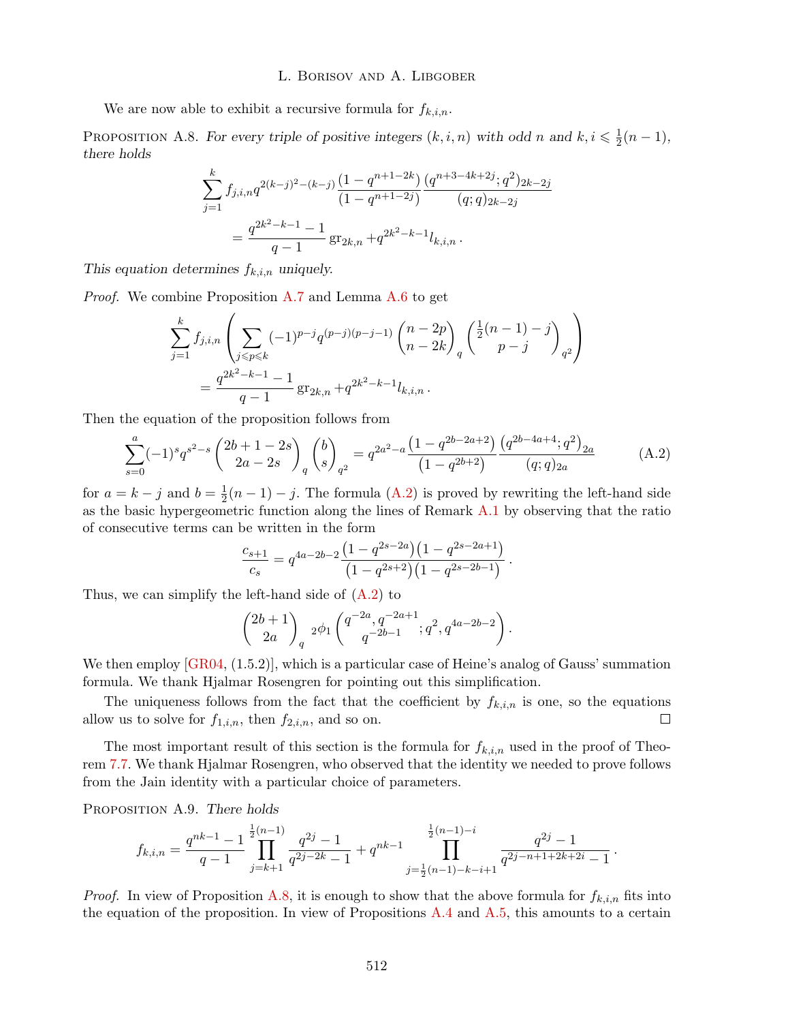We are now able to exhibit a recursive formula for  $f_{k,i,n}$ .

PROPOSITION A.8. *For every triple of positive integers*  $(k, i, n)$  *with odd n and*  $k, i \leq \frac{1}{2}(n-1)$ *, there holds*

$$
\sum_{j=1}^{k} f_{j,i,n} q^{2(k-j)^2 - (k-j)} \frac{(1 - q^{n+1-2k})}{(1 - q^{n+1-2j})} \frac{(q^{n+3-4k+2j}; q^2)_{2k-2j}}{(q;q)_{2k-2j}}
$$

$$
= \frac{q^{2k^2 - k - 1} - 1}{q - 1} \operatorname{gr}_{2k,n} + q^{2k^2 - k - 1} l_{k,i,n}.
$$

*This equation determines fk,i,n uniquely.*

*Proof.* We combine Proposition A.7 and Lemma A.6 to get

$$
\sum_{j=1}^{k} f_{j,i,n} \left( \sum_{j \le p \le k} (-1)^{p-j} q^{(p-j)(p-j-1)} \binom{n-2p}{n-2k}_q \binom{\frac{1}{2}(n-1)-j}{p-j}_{q^2} \right)
$$
  
= 
$$
\frac{q^{2k^2-k-1}-1}{q-1} \operatorname{gr}_{2k,n} + q^{2k^2-k-1} l_{k,i,n} .
$$

Then the equation of the proposition follows from

$$
\sum_{s=0}^{a} (-1)^s q^{s^2-s} \binom{2b+1-2s}{2a-2s}_{q} \binom{b}{s}_{q^2} = q^{2a^2-a} \frac{\left(1-q^{2b-2a+2}\right)}{\left(1-q^{2b+2}\right)} \frac{\left(q^{2b-4a+4}; q^2\right)_{2a}}{(q;q)_{2a}} \tag{A.2}
$$

for  $a = k - j$  and  $b = \frac{1}{2}(n - 1) - j$ . The formula (A.2) is proved by rewriting the left-hand side as the basic hypergeometric function along the lines of Remark A.1 by observing that the ratio of consecutive terms can be written in the form

$$
\frac{c_{s+1}}{c_s} = q^{4a-2b-2} \frac{\left(1-q^{2s-2a}\right)\left(1-q^{2s-2a+1}\right)}{\left(1-q^{2s+2}\right)\left(1-q^{2s-2b-1}\right)}.
$$

Thus, we can simplify the left-hand side of  $(A.2)$  to

$$
\begin{pmatrix} 2b+1 \ 2a \end{pmatrix}_q 2\phi_1 \begin{pmatrix} q^{-2a}, q^{-2a+1} \ q^{-2b-1} \end{pmatrix}_q.
$$

We then employ [GR04, (1.5.2)], which is a particular case of Heine's analog of Gauss' summation formula. We thank Hjalmar Rosengren for pointing out this simplification.

The uniqueness follows from the fact that the coefficient by  $f_{k,i,n}$  is one, so the equations allow us to solve for  $f_{1,i,n}$ , then  $f_{2,i,n}$ , and so on.  $\Box$ 

The most important result of this section is the formula for  $f_{k,i,n}$  used in the proof of Theorem 7.7. We thank Hjalmar Rosengren, who observed that the identity we needed to prove follows from the Jain identity with a particular choice of parameters.

Proposition A.9. *There holds*

$$
f_{k,i,n} = \frac{q^{nk-1}-1}{q-1} \prod_{j=k+1}^{\frac{1}{2}(n-1)} \frac{q^{2j}-1}{q^{2j-2k}-1} + q^{nk-1} \prod_{j=\frac{1}{2}(n-1)-k-i+1}^{\frac{1}{2}(n-1)-i} \frac{q^{2j}-1}{q^{2j-n+1+2k+2i}-1}.
$$

*Proof.* In view of Proposition A.8, it is enough to show that the above formula for  $f_{k,i,n}$  fits into the equation of the proposition. In view of Propositions  $A.4$  and  $A.5$ , this amounts to a certain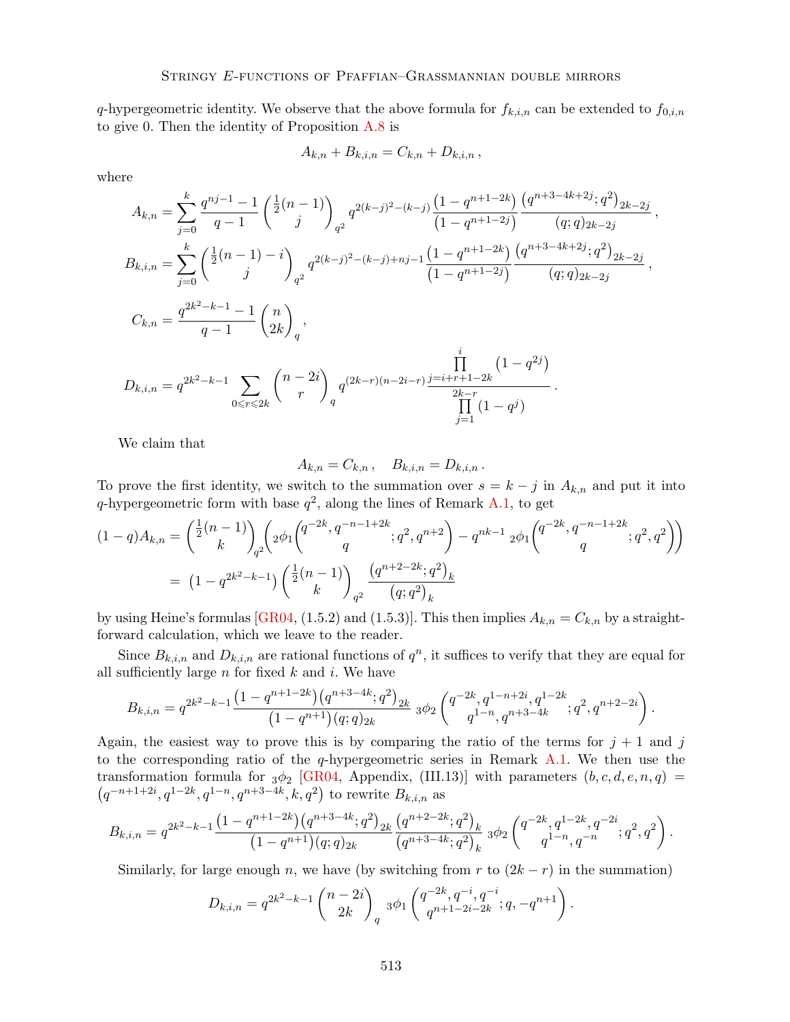*q*-hypergeometric identity. We observe that the above formula for  $f_{k,i,n}$  can be extended to  $f_{0,i,n}$ to give 0. Then the identity of Proposition A.8 is

$$
A_{k,n} + B_{k,i,n} = C_{k,n} + D_{k,i,n},
$$

where

$$
A_{k,n} = \sum_{j=0}^{k} \frac{q^{nj-1} - 1}{q - 1} \left(\frac{1}{2}(n - 1)\right)_{q^2} q^{2(k-j)^2 - (k-j)} \frac{\left(1 - q^{n+1-2k}\right)}{\left(1 - q^{n+1-2j}\right)} \frac{\left(q^{n+3-4k+2j}; q^2\right)_{2k-2j}}{(q;q)_{2k-2j}},
$$
  
\n
$$
B_{k,i,n} = \sum_{j=0}^{k} \left(\frac{1}{2}(n - 1) - i\right)_{q^2} q^{2(k-j)^2 - (k-j) + nj - 1} \frac{\left(1 - q^{n+1-2k}\right)}{\left(1 - q^{n+1-2j}\right)} \frac{\left(q^{n+3-4k+2j}; q^2\right)_{2k-2j}}{(q;q)_{2k-2j}},
$$
  
\n
$$
C_{k,n} = \frac{q^{2k^2 - k - 1} - 1}{q - 1} \left(\frac{n}{2k}\right)_q,
$$
  
\n
$$
D_{k,i,n} = q^{2k^2 - k - 1} \sum_{0 \le r \le 2k} {n - 2i \choose r}_q q^{(2k-r)(n-2i-r)} \frac{1}{2k-r} \frac{\prod_{j=1}^{i} (1 - q^{2j})}{\prod_{j=1}^{2k-r} (1 - q^j)}.
$$

We claim that

$$
A_{k,n} = C_{k,n}, \quad B_{k,i,n} = D_{k,i,n}.
$$

To prove the first identity, we switch to the summation over  $s = k - j$  in  $A_{k,n}$  and put it into *q*-hypergeometric form with base  $q^2$ , along the lines of Remark A.1, to get

$$
(1-q)A_{k,n} = \binom{\frac{1}{2}(n-1)}{k}_{q^2} \left( 2\phi_1 \binom{q^{-2k}, q^{-n-1+2k}}{q}; q^2, q^{n+2} \right) - q^{nk-1} 2\phi_1 \binom{q^{-2k}, q^{-n-1+2k}}{q}; q^2, q^2 \right)
$$

$$
= (1-q^{2k^2-k-1}) \left( \frac{\frac{1}{2}(n-1)}{k} \right)_{q^2} \frac{\left( q^{n+2-2k}; q^2 \right)_k}{\left( q; q^2 \right)_k}
$$

by using Heine's formulas [GR04, (1.5.2) and (1.5.3)]. This then implies  $A_{k,n} = C_{k,n}$  by a straightforward calculation, which we leave to the reader.

Since  $B_{k,i,n}$  and  $D_{k,i,n}$  are rational functions of  $q^n$ , it suffices to verify that they are equal for all sufficiently large  $n$  for fixed  $k$  and  $i$ . We have

$$
B_{k,i,n} = q^{2k^2 - k - 1} \frac{\left(1 - q^{n+1-2k}\right) \left(q^{n+3-4k}; q^2\right)_{2k}}{\left(1 - q^{n+1}\right) (q;q)_{2k}} \; 3\phi_2 \left(\begin{matrix} q^{-2k}, q^{1-n+2i}, q^{1-2k}, q^{n+2-2i} \\ q^{1-n}, q^{n+3-4k}; q^2, q^{n+2-2i} \end{matrix}\right).
$$

Again, the easiest way to prove this is by comparing the ratio of the terms for  $j + 1$  and  $j$ to the corresponding ratio of the *q*-hypergeometric series in Remark A.1. We then use the transformation formula for  $_3\phi_2$  [GR04, Appendix, (III.13)] with parameters  $(b, c, d, e, n, q)$  =  $(q^{-n+1+2i}, q^{1-2k}, q^{1-n}, q^{n+3-4k}, k, q^2)$  to rewrite  $B_{k,i,n}$  as

$$
B_{k,i,n} = q^{2k^2 - k - 1} \frac{\left(1 - q^{n+1-2k}\right) \left(q^{n+3-4k}; q^2\right)_{2k}}{\left(1 - q^{n+1}\right) (q;q)_{2k}} \frac{\left(q^{n+2-2k}; q^2\right)_k}{\left(q^{n+3-4k}; q^2\right)_k} \; 3\phi_2 \left(\begin{matrix}q^{-2k}, q^{1-2k}, q^{-2i} \\ q^{1-n}, q^{-n} \end{matrix}; q^2, q^2\right).
$$

Similarly, for large enough *n*, we have (by switching from *r* to  $(2k - r)$  in the summation)

$$
D_{k,i,n} = q^{2k^2 - k - 1} {n - 2i \choose 2k}_{q} \; 3\phi_1 \left( \frac{q^{-2k}, q^{-i}, q^{-i}}{q^{n+1} - 2i - 2k}; q, -q^{n+1} \right).
$$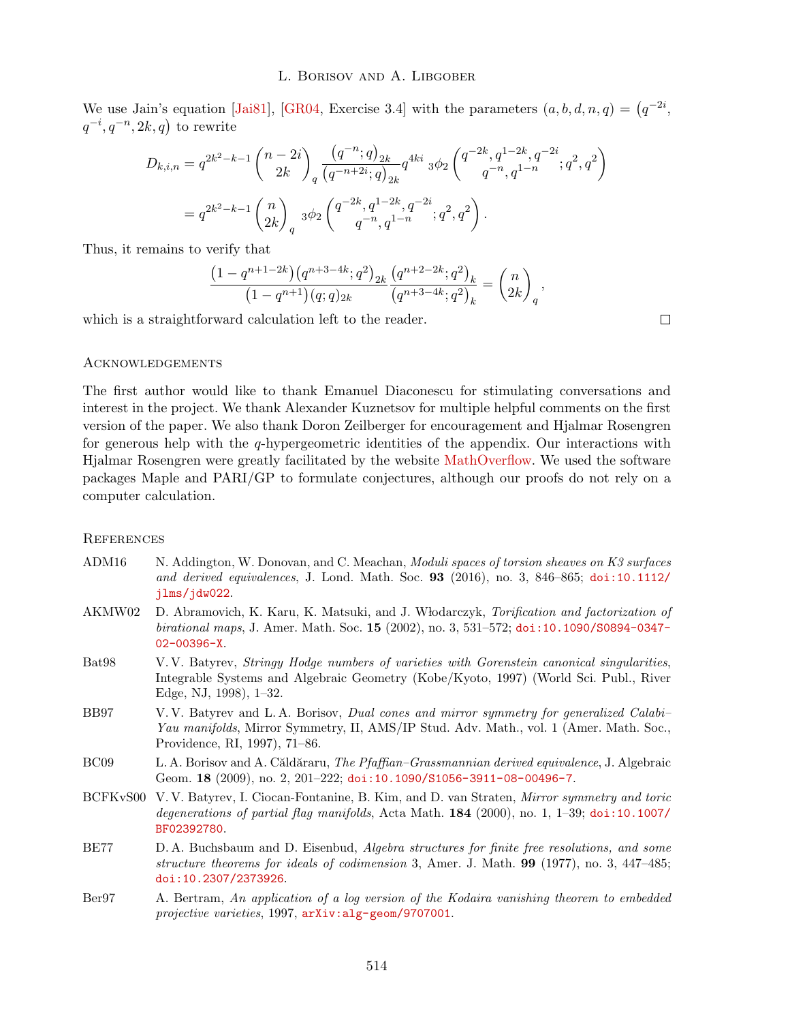We use Jain's equation [Jai81], [GR04, Exercise 3.4] with the parameters  $(a, b, d, n, q) = (q^{-2i},$  $q^{-i}, q^{-n}, 2k, q$  to rewrite

$$
D_{k,i,n} = q^{2k^2 - k - 1} {n - 2i \choose 2k} \frac{\left(q^{-n}; q\right)_{2k}}{\left(q^{-n+2i}; q\right)_{2k}} q^{4ki} \, 3\phi_2 \left(\begin{matrix}q^{-2k}, q^{1-2k}, q^{-2i} \\ q^{-n}, q^{1-n} \end{matrix}; q^2, q^2\right)
$$

$$
= q^{2k^2 - k - 1} {n \choose 2k}_q \, 3\phi_2 \left(\begin{matrix}q^{-2k}, q^{1-2k}, q^{-2i} \\ q^{-n}, q^{1-n} \end{matrix}; q^2, q^2\right).
$$

Thus, it remains to verify that

$$
\frac{\left(1-q^{n+1-2k}\right)\left(q^{n+3-4k};q^2\right)_{2k}\left(q^{n+2-2k};q^2\right)_k}{\left(1-q^{n+1}\right)\left(q;q\right)_{2k}}\frac{\left(q^{n+2-2k};q^2\right)_k}{\left(q^{n+3-4k};q^2\right)_k}=\binom{n}{2k}_q,
$$

which is a straightforward calculation left to the reader.

 $\Box$ 

# Acknowledgements

The first author would like to thank Emanuel Diaconescu for stimulating conversations and interest in the project. We thank Alexander Kuznetsov for multiple helpful comments on the first version of the paper. We also thank Doron Zeilberger for encouragement and Hjalmar Rosengren for generous help with the *q*-hypergeometric identities of the appendix. Our interactions with Hjalmar Rosengren were greatly facilitated by the website MathOverflow. We used the software packages Maple and PARI/GP to formulate conjectures, although our proofs do not rely on a computer calculation.

# **REFERENCES**

- ADM16 N. Addington, W. Donovan, and C. Meachan, *Moduli spaces of torsion sheaves on K3 surfaces and derived equivalences*, J. Lond. Math. Soc. 93 (2016), no. 3, 846–865; doi:10.1112/ jlms/jdw022.
- AKMW02 D. Abramovich, K. Karu, K. Matsuki, and J. Wlodarczyk, *Torification and factorization of birational maps*, J. Amer. Math. Soc. 15 (2002), no. 3, 531–572; doi:10.1090/S0894-0347- 02-00396-X.
- Bat98 V. V. Batyrev, *Stringy Hodge numbers of varieties with Gorenstein canonical singularities*, Integrable Systems and Algebraic Geometry (Kobe/Kyoto, 1997) (World Sci. Publ., River Edge, NJ, 1998), 1–32.
- BB97 V. V. Batyrev and L. A. Borisov, *Dual cones and mirror symmetry for generalized Calabi– Yau manifolds*, Mirror Symmetry, II, AMS/IP Stud. Adv. Math., vol. 1 (Amer. Math. Soc., Providence, RI, 1997), 71–86.
- BC09 L. A. Borisov and A. Căldăraru, *The Pfaffian–Grassmannian derived equivalence*, J. Algebraic Geom. 18 (2009), no. 2, 201–222; doi:10.1090/S1056-3911-08-00496-7.
- BCFKvS00 V. V. Batyrev, I. Ciocan-Fontanine, B. Kim, and D. van Straten, *Mirror symmetry and toric degenerations of partial flag manifolds*, Acta Math. 184 (2000), no. 1, 1–39; doi:10.1007/ BF02392780.
- BE77 D. A. Buchsbaum and D. Eisenbud, *Algebra structures for finite free resolutions, and some structure theorems for ideals of codimension* 3, Amer. J. Math. 99 (1977), no. 3, 447–485; doi:10.2307/2373926.
- Ber97 A. Bertram, *An application of a log version of the Kodaira vanishing theorem to embedded projective varieties*, 1997, arXiv:alg-geom/9707001.